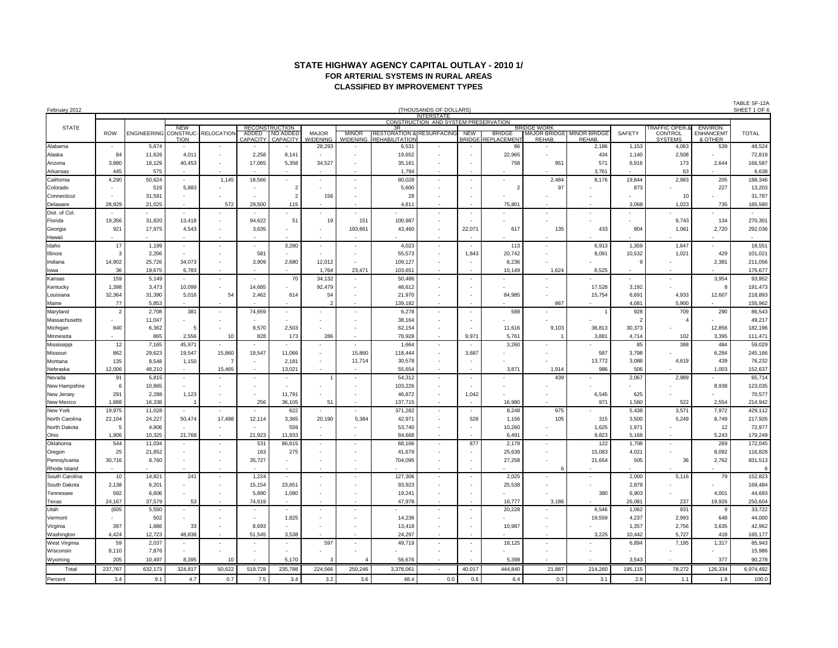# **STATE HIGHWAY AGENCY CAPITAL OUTLAY - 2010 1/ FOR ARTERIAL SYSTEMS IN RURAL AREAS CLASSIFIED BY IMPROVEMENT TYPES**

| February 2012             | (THOUSANDS OF DOLLARS) |                              |                                   |                          |                          |                          |                           |                          |                                      |                                                           |                                            |                                     |                    |                                  | SHEET 1 OF 6   |                           |                          |                          |
|---------------------------|------------------------|------------------------------|-----------------------------------|--------------------------|--------------------------|--------------------------|---------------------------|--------------------------|--------------------------------------|-----------------------------------------------------------|--------------------------------------------|-------------------------------------|--------------------|----------------------------------|----------------|---------------------------|--------------------------|--------------------------|
|                           |                        |                              |                                   |                          |                          |                          |                           |                          |                                      | <b>INTERSTATE</b><br>CONSTRUCTION AND SYSTEM PRESERVATION |                                            |                                     |                    |                                  |                |                           |                          |                          |
| <b>STATE</b>              |                        |                              | <b>NEW</b>                        |                          |                          | <b>RECONSTRUCTION</b>    |                           |                          | 3R                                   |                                                           |                                            |                                     | <b>BRIDGE WORK</b> |                                  |                | <b>TRAFFIC OPER.&amp;</b> | <b>ENVIRON.</b>          |                          |
|                           | <b>ROW</b>             | <b>ENGINEERING CONSTRUC-</b> |                                   | <b>RELOCATION</b>        | ADDED                    | NO ADDED                 | <b>MAJOR</b>              | <b>MINOR</b>             | <b>RESTORATION &amp; RESURFACING</b> |                                                           | <b>NEW</b>                                 | <b>BRIDGE</b><br><b>REPLACEMENT</b> |                    | <b>MAJOR BRIDGE MINOR BRIDGE</b> | <b>SAFETY</b>  | <b>CONTROL</b>            | <b>ENHANCEMT</b>         | <b>TOTAL</b>             |
| Alabama                   |                        | 5,674                        | <b>TION</b>                       |                          | <b>CAPACITY</b>          | CAPACITY                 | <b>WIDENING</b><br>28,293 | <b>WIDENING</b>          | REHABILITATIOI<br>6,531              |                                                           | <b>BRIDGE</b>                              | 86                                  | REHAB.             | REHAB.<br>2,186                  | 1,153          | <b>SYSTEMS</b><br>4,063   | & OTHER<br>539           | 48,524                   |
| Alaska                    | 84                     | 11,626                       | 4,01                              | $\overline{\phantom{a}}$ | 2,258                    | 8,141                    |                           | $\overline{\phantom{a}}$ | 19,652                               | $\overline{\phantom{a}}$                                  | $\overline{\phantom{a}}$                   | 22,965                              |                    | 434                              | 1,140          | 2,508                     |                          | 72,819                   |
| Arizona                   | 3,880                  | 18,129                       | 40,453                            | $\overline{\phantom{a}}$ | 17,065                   | 5,358                    | 34,527                    |                          | 35,161                               |                                                           |                                            | 758                                 | 951                | 571                              | 6,916          | 173                       | 2,644                    | 166,587                  |
|                           | 445                    | 575                          | $\overline{\phantom{a}}$          |                          |                          | $\blacksquare$           | $\overline{\phantom{a}}$  | $\overline{\phantom{a}}$ | 1,794                                | $\overline{\phantom{a}}$                                  | $\sim$                                     | $\overline{\phantom{a}}$            |                    | 3,761                            |                | 63                        |                          | 6,638                    |
| Arkansas                  | 4,290                  |                              |                                   | 1,145                    | 18,566                   |                          |                           |                          | 80,028                               |                                                           |                                            |                                     | 2,484              | 8,176                            | 19,844         | 2,983                     | 205                      | 188,346                  |
| California                |                        | 50,624                       |                                   |                          |                          | $\overline{2}$           |                           |                          |                                      |                                                           |                                            | $\overline{2}$                      | 97                 |                                  |                |                           |                          |                          |
| Colorado                  |                        | 519                          | 5,883<br>$\overline{\phantom{a}}$ |                          |                          | $\overline{2}$           |                           |                          | 5,600                                | $\overline{\phantom{a}}$                                  | $\overline{\phantom{a}}$<br>$\overline{a}$ |                                     |                    |                                  | 873            | 10                        | 227                      | 13,203<br>31,787         |
| Connecticut               | 28,929                 | 31,591<br>21,025             | $\overline{\phantom{a}}$          | 572                      | 29,500                   |                          | 156                       | $\overline{\phantom{a}}$ | 28<br>4,811                          | $\overline{\phantom{a}}$                                  |                                            | 75,801                              |                    |                                  | 3,068          | 1,023                     | 735                      | 165,580                  |
| Delaware<br>Dist. of Col. |                        |                              |                                   |                          |                          | 115                      |                           |                          |                                      |                                                           |                                            |                                     |                    |                                  |                |                           |                          |                          |
| Florida                   | 19,356                 | 31,820                       | 13,418                            | $\overline{\phantom{a}}$ | 94,622                   | 51                       | 19                        | 151                      | 100,987                              | $\overline{\phantom{a}}$                                  |                                            |                                     |                    |                                  |                | 9,743                     | 134                      | 270,301                  |
|                           | 921                    | 17,975                       | 4,543                             | $\overline{\phantom{a}}$ |                          |                          |                           | 193,661                  |                                      | $\overline{\phantom{a}}$                                  |                                            | 617                                 | 135                | 433                              | 804            | 1,061                     | 2,720                    | 292,036                  |
| Georgia                   |                        |                              |                                   | $\overline{\phantom{a}}$ | 3,635                    |                          |                           |                          | 43,460                               | $\overline{\phantom{a}}$                                  | 22,071                                     |                                     |                    |                                  |                |                           |                          | $\overline{\phantom{0}}$ |
| Hawaii<br>Idaho           | 17                     | 1,199                        |                                   |                          |                          | 3,280                    |                           |                          | 4,023                                | $\overline{\phantom{a}}$                                  |                                            | 113                                 |                    | 6,913                            | 1,359          | 1,647                     |                          | 18,551                   |
| llinois                   | -3                     | 2,206                        |                                   |                          | 581                      |                          |                           |                          | 55,573                               | $\overline{\phantom{a}}$                                  | 1,843                                      | 20,742                              |                    | 8,091                            | 10,532         | 1,021                     | 429                      | 101,021                  |
| Indiana                   | 14,902                 | 25,726                       | 34,073                            | $\overline{\phantom{a}}$ | 3,909                    | 2,680                    | 12,012                    | $\overline{\phantom{a}}$ | 109,127                              | $\overline{\phantom{a}}$                                  | $\overline{\phantom{a}}$                   | 6,236                               |                    |                                  | $\mathbf{Q}$   |                           | 2,381                    | 211,056                  |
|                           | 36                     | 19,675                       | 6,783                             |                          |                          |                          | 1,764                     | 23,471                   | 103,651                              | $\overline{a}$                                            | $\overline{\phantom{a}}$                   | 10,149                              | 1,624              | 8,525                            |                |                           |                          | 175,677                  |
| lowa<br>Kansas            | 159                    | 5,149                        |                                   |                          |                          | 70                       | 34,132                    |                          | 50,486                               |                                                           |                                            |                                     |                    |                                  |                |                           | 3,954                    | 93,952                   |
|                           | 1,398                  | 3,473                        | 10,099                            |                          | 14,685                   |                          | 92,479                    |                          | 48,612                               |                                                           | $\overline{\phantom{a}}$                   |                                     |                    | 17,528                           | 3,192          |                           | 8                        | 191,473                  |
| Kentucky                  |                        |                              |                                   | 54                       |                          |                          | 54                        |                          |                                      |                                                           |                                            |                                     |                    |                                  |                |                           |                          | 218,893                  |
| Louisiana                 | 32,364<br>77           | 31,390<br>5,853              | 5,016                             |                          | 2,462                    | 614                      | $\overline{2}$            | $\overline{\phantom{a}}$ | 21,970<br>139,182                    | $\overline{\phantom{a}}$                                  | $\overline{\phantom{a}}$                   | 84,985                              | 867                | 15,754                           | 6,691<br>4,081 | 4,933<br>5,900            | 12,607                   | 155,962                  |
| Maine                     | -2                     | 2,708                        | 381                               | $\overline{\phantom{a}}$ | 74,659                   | $\overline{\phantom{a}}$ |                           |                          | 6,278                                |                                                           | $\overline{\phantom{a}}$                   | 588                                 |                    |                                  | 928            | 709                       | 290                      | 86,543                   |
| Maryland<br>Massachusetts |                        | 11,047                       |                                   |                          |                          |                          |                           | $\overline{\phantom{a}}$ |                                      | $\overline{\phantom{a}}$<br>$\overline{\phantom{a}}$      | $\overline{\phantom{a}}$                   |                                     |                    |                                  | $\overline{2}$ | $\overline{4}$            |                          | 49,217                   |
|                           | 840                    | 6,362                        | 5                                 |                          | 9,570                    | 2,503                    |                           |                          | 38,164<br>62,154                     |                                                           | $\overline{\phantom{a}}$                   | 11,616                              | 9,103              | 36,813                           | 30,373         |                           | 12,856                   | 182,196                  |
| Michigan                  |                        | 865                          | 2,556                             | 10                       | 828                      | 173                      | 286                       |                          | 78,928                               | $\overline{\phantom{a}}$                                  | 9,971                                      | 5,761                               |                    | 3,881                            | 4,714          | 102                       | 3,395                    | 111,471                  |
| Minnesota<br>Mississipp   | 12                     | 7,165                        | 45,971                            |                          |                          |                          |                           |                          | 1,664                                | $\overline{\phantom{a}}$                                  |                                            | 3,260                               |                    |                                  | 85             | 388                       | 484                      | 59,029                   |
| Missouri                  | 862                    | 29,623                       | 19,547                            | 15,860                   | 19,547                   | 11,066                   | $\overline{\phantom{0}}$  | 15,860                   | 118,444                              | $\overline{\phantom{a}}$                                  | 3,687                                      |                                     |                    | 587                              | 3,798          |                           | 6,284                    | 245,166                  |
| Montana                   | 135                    | 8,548                        | 1,150                             | -7                       | $\overline{\phantom{a}}$ | 2,181                    | $\overline{\phantom{0}}$  | 11,714                   | 30,578                               | $\overline{\phantom{a}}$                                  |                                            |                                     |                    | 13,772                           | 3,088          | 4,619                     | 439                      | 76,232                   |
| Nebraska                  | 12,006                 | 48,210                       | $\overline{\phantom{a}}$          | 15,465                   | $\overline{\phantom{a}}$ | 13,021                   |                           |                          | 55,654                               | $\overline{\phantom{a}}$                                  |                                            | 3,871                               | 1,914              | 986                              | 506            |                           | 1,003                    | 152,637                  |
| Nevada                    | 91                     | 5,815                        | $\overline{\phantom{a}}$          |                          |                          | $\overline{\phantom{a}}$ |                           |                          | 54,312                               | $\overline{\phantom{0}}$                                  | $\overline{\phantom{a}}$                   | $\overline{\phantom{a}}$            | 439                |                                  | 2,067          | 2,989                     |                          | 65,714                   |
| New Hampshire             | - 6                    | 10,865                       | $\overline{\phantom{a}}$          |                          |                          |                          |                           |                          | 103,226                              | $\overline{\phantom{a}}$                                  | $\overline{\phantom{a}}$                   |                                     |                    |                                  |                |                           | 8,938                    | 123,035                  |
| New Jersey                | 291                    | 2,288                        | 1,123                             |                          |                          | 11,791                   |                           |                          | 46,872                               | $\overline{\phantom{a}}$                                  | 1,042                                      |                                     |                    | 6,545                            | 625            |                           |                          | 70,577                   |
| New Mexico                | 1,888                  | 16,338                       |                                   |                          | 256                      | 36,105                   | 51                        |                          | 137,715                              |                                                           | $\overline{\phantom{a}}$                   | 16,980                              |                    | 971                              | 1,560          | 522                       | 2,554                    | 214,942                  |
| New York                  | 19,975                 | 11,028                       |                                   |                          |                          | 622                      |                           |                          | 371,282                              | $\overline{\phantom{0}}$                                  | $\overline{\phantom{a}}$                   | 8,248                               | 975                |                                  | 5,438          | 3,571                     | 7,972                    | 429,112                  |
| North Carolina            | 22,104                 | 24,227                       | 50,474                            | 17,498                   | 12,114                   | 3,365                    | 20,190                    | 5,384                    | 42,971                               | $\overline{\phantom{a}}$                                  | 526                                        | 1,156                               | 105                | 315                              | 3,500          | 5,249                     | 8,749                    | 217,926                  |
| North Dakota              | -5                     | 4,806                        |                                   |                          |                          | 559                      |                           |                          | 53,740                               |                                                           |                                            | 10,260                              |                    | 1,625                            | 1,971          |                           | 12                       | 72,977                   |
| Ohio                      | 1,906                  | 10,325                       | 21,768                            | $\overline{\phantom{a}}$ | 21,923                   | 11,933                   |                           |                          | 84,668                               | $\overline{\phantom{a}}$                                  |                                            | 6,491                               |                    | 9,823                            | 5,168          | $\overline{\phantom{a}}$  | 5,243                    | 179,249                  |
| Oklahoma                  | 544                    | 11,034                       |                                   |                          | 531                      | 86,615                   |                           |                          | 68,166                               | $\overline{\phantom{a}}$                                  | 877                                        | 2,179                               |                    | 122                              | 1,708          |                           | 269                      | 172,045                  |
| Oregon                    | 25                     | 21,852                       | $\overline{\phantom{a}}$          |                          | 163                      | 275                      |                           | $\overline{\phantom{a}}$ | 41,679                               |                                                           | $\overline{\phantom{a}}$                   | 25,639                              |                    | 15,083                           | 4,021          |                           | 8,092                    | 116,828                  |
| Pennsylvania              | 30,716                 | 8,760                        | $\overline{\phantom{a}}$          | $\overline{\phantom{a}}$ | 35,727                   | $\overline{\phantom{a}}$ |                           | $\overline{\phantom{a}}$ | 704,095                              | $\overline{\phantom{a}}$                                  | $\overline{\phantom{a}}$                   | 27,258                              |                    | 21,654                           | 505            | 36                        | 2,762                    | 831,513                  |
| Rhode Island              |                        |                              |                                   |                          |                          |                          |                           |                          |                                      |                                                           |                                            |                                     |                    |                                  |                |                           |                          | 6                        |
| South Carolina            | 10                     | 14,821                       | 241                               |                          | 1,224                    | $\overline{\phantom{a}}$ |                           |                          | 127,306                              |                                                           | $\overline{\phantom{a}}$                   | 2,025                               |                    |                                  | 2,000          | 5,116                     | 79                       | 152,823                  |
| South Dakota              | 2,138                  | 6,201                        |                                   |                          | 15,154                   | 23,651                   |                           |                          | 93,923                               |                                                           |                                            | 25,538                              |                    |                                  | 2,879          |                           |                          | 169,484                  |
| Tennessee                 | 592                    | 6,606                        |                                   |                          | 5,890                    | 1,080                    |                           |                          | 19,241                               |                                                           |                                            |                                     |                    | 380                              | 6,903          |                           | 4,001                    | 44,693                   |
| Texas                     | 24,167                 | 37,579                       | 53                                |                          | 74,619                   |                          | $\overline{\phantom{a}}$  |                          | 47,978                               |                                                           | $\overline{\phantom{0}}$                   | 16,777                              | 3,186              |                                  | 26,081         | 237                       | 19,926                   | 250,604                  |
| Utah                      | (605)                  | 5,550                        |                                   |                          |                          |                          |                           |                          |                                      |                                                           | $\overline{\phantom{a}}$                   | 20,228                              |                    | 6,546                            | 1,062          | 931                       | 9                        | 33,722                   |
| Vermont                   | $\sim$                 | 502                          | $\sim$                            | $\overline{\phantom{a}}$ | $\overline{\phantom{a}}$ | 1,825                    | $\overline{\phantom{a}}$  | $\overline{\phantom{a}}$ | 14,236                               | $\overline{\phantom{a}}$                                  | $\sim$                                     |                                     |                    | 19,559                           | 4,237          | 2,993                     | 648                      | 44,000                   |
| Virginia                  | 397                    | 1,686                        | 33                                |                          | 8,693                    |                          |                           |                          | 13,418                               |                                                           |                                            | 10,987                              |                    |                                  | 1,357          | 2,756                     | 3,635                    | 42,962                   |
| Washington                | 4,424                  | 12,723                       | 48,838                            |                          | 51,545                   | 3,538                    |                           |                          | 24,297                               | $\overline{\phantom{a}}$                                  | $\overline{a}$                             |                                     |                    | 3,225                            | 10,442         | 5,727                     | 418                      | 165,177                  |
| West Virginia             | 59                     | 2,037                        | $\sim$                            | $\overline{\phantom{a}}$ |                          | $\sim$                   | 597                       | $\overline{\phantom{a}}$ | 49,719                               | $\overline{\phantom{a}}$                                  | $\sim$                                     | 18,125                              | $\sim$             |                                  | 6,894          | 7,195                     | 1,317                    | 85,943                   |
| Wisconsin                 | 8,110                  | 7,876                        | $\overline{\phantom{a}}$          | $\overline{\phantom{a}}$ | $\overline{\phantom{a}}$ | $\sim$                   |                           | $\overline{\phantom{a}}$ |                                      | $\overline{\phantom{a}}$                                  | $\overline{\phantom{a}}$                   |                                     |                    |                                  |                |                           | $\overline{\phantom{a}}$ | 15,986                   |
| Wyoming                   | 205                    | 10,497                       | 8,395                             | 10                       |                          | 5,170                    | 3                         | $\overline{4}$           | 56,676                               |                                                           |                                            | 5,398                               |                    |                                  | 3,543          |                           | 377                      | 90,278                   |
| Total                     | 237,767                | 632,173                      | 324,817                           | 50,622                   | 519,728                  | 235,788                  | 224,566                   | 250,246                  | 3,378,061                            | $\overline{\phantom{a}}$                                  | 40,017                                     | 444,840                             | 21,887             | 214,260                          | 195,115        | 78,272                    | 126,334                  | 6,974,492                |
|                           |                        |                              |                                   |                          |                          |                          |                           |                          |                                      |                                                           |                                            |                                     |                    |                                  |                |                           |                          |                          |
| Percent                   | 3.4                    | 9.1                          | 4.7                               | 0.7                      | 7.5                      | 3.4                      | 3.2                       | 3.6                      | 48.4                                 | 0.0                                                       | 0.6                                        | 6.4                                 | 0.3                | 3.1                              | 2.8            | 1.1                       | 1.8                      | 100.0                    |

TABLE SF-12A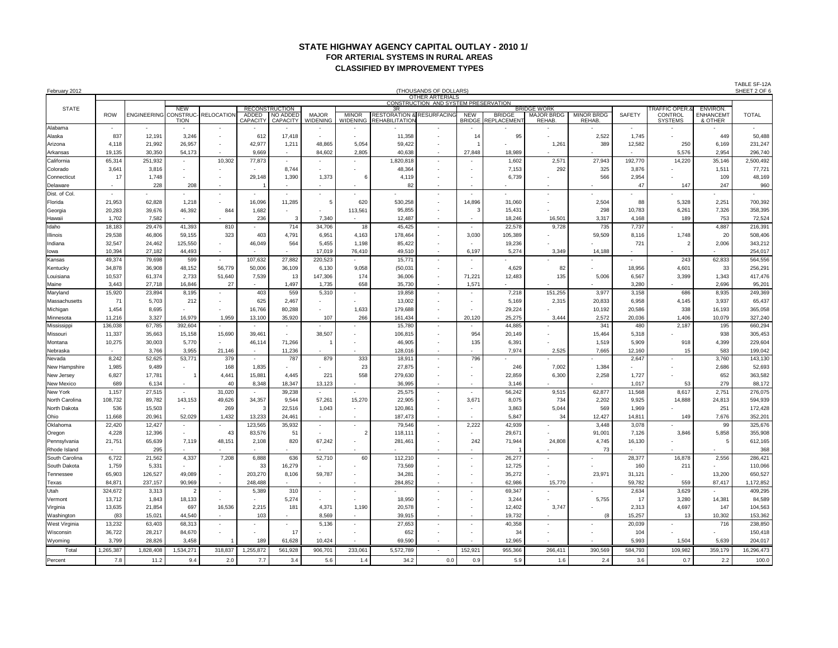#### **STATE HIGHWAY AGENCY CAPITAL OUTLAY - 2010 1/ FOR ARTERIAL SYSTEMS IN RURAL AREAS CLASSIFIED BY IMPROVEMENT TYPES**

| February 2012          |                          |                       |                           |                          |                          |                                                      |                          |                                 |                                                                    | (THOUSANDS OF DOLLARS)<br>OTHER ARTERIALS            |                             |                                   |                                                         |                                   |                          |                                                  |                                         | TABLE SF-12A<br>SHEET 2 OF 6 |
|------------------------|--------------------------|-----------------------|---------------------------|--------------------------|--------------------------|------------------------------------------------------|--------------------------|---------------------------------|--------------------------------------------------------------------|------------------------------------------------------|-----------------------------|-----------------------------------|---------------------------------------------------------|-----------------------------------|--------------------------|--------------------------------------------------|-----------------------------------------|------------------------------|
|                        |                          |                       |                           |                          |                          |                                                      |                          |                                 |                                                                    | CONSTRUCTION AND SYSTEM PRESERVATION                 |                             |                                   |                                                         |                                   |                          |                                                  |                                         |                              |
| <b>STATE</b>           | <b>ROW</b>               | ENGINEERING CONSTRUC- | <b>NEW</b><br><b>TION</b> | <b>RELOCATION</b>        | ADDED<br><b>CAPACITY</b> | <b>RECONSTRUCTION</b><br>NO ADDED<br><b>CAPACITY</b> | <b>MAJOR</b><br>WIDENING | <b>MINOR</b><br><b>WIDENING</b> | 3R<br><b>RESTORATION &amp; RESURFACING</b><br><b>REHABILITATIO</b> |                                                      | <b>NEW</b><br><b>BRIDGE</b> | <b>BRIDGE</b><br><b>EPLACEMEN</b> | <b>BRIDGE WORK</b><br><b>MAJOR BRDG</b><br><b>REHAB</b> | <b>MINOR BRDG</b><br><b>REHAB</b> | SAFETY                   | <b>RAFFIC OPER.</b><br>CONTROL<br><b>SYSTEMS</b> | ENVIRON.<br><b>ENHANCEMT</b><br>& OTHER | <b>TOTAL</b>                 |
| Alabama                | $\sim$                   |                       |                           | $\sim$                   |                          |                                                      | $\overline{\phantom{a}}$ |                                 |                                                                    |                                                      |                             |                                   |                                                         |                                   | $\overline{\phantom{a}}$ |                                                  |                                         |                              |
| Alaska                 | 837                      | 12,191                | 3,246                     | $\sim$                   | 612                      | 17,418                                               |                          |                                 | 11,358                                                             |                                                      | 14                          | 95                                |                                                         | 2,522                             | 1,745                    |                                                  | 449                                     | 50,488                       |
| Arizona                | 4,118                    | 21,992                | 26,957                    | $\overline{\phantom{a}}$ | 42,977                   | 1,211                                                | 48,865                   | 5,054                           | 59,422                                                             |                                                      |                             |                                   | 1,261                                                   | 389                               | 12,582                   | 250                                              | 6,169                                   | 231,247                      |
| Arkansas               | 19,135                   | 30,350                | 54,173                    |                          | 9,669                    | $\overline{\phantom{a}}$                             | 84,602                   | 2,805                           | 40,638                                                             | $\overline{\phantom{a}}$                             | 27,848                      | 18,989                            |                                                         |                                   |                          | 5,576                                            | 2,954                                   | 296,740                      |
| California             | 65,314                   | 251,932               |                           | 10,302                   | 77,873                   |                                                      |                          |                                 | 1,820,818                                                          |                                                      |                             | 1,602                             | 2,571                                                   | 27,943                            | 192,770                  | 14,220                                           | 35,146                                  | 2,500,492                    |
| Colorado               | 3,641                    | 3,816                 | $\overline{\phantom{a}}$  | $\overline{\phantom{a}}$ |                          | 8,744                                                |                          |                                 | 48,364                                                             | $\overline{\phantom{a}}$                             |                             | 7,153                             | 292                                                     | 325                               | 3,876                    |                                                  | 1,511                                   | 77,721                       |
| Connecticut            | 17                       | 1,748                 |                           | $\sim$                   | 29,148                   | 1,390                                                | 1,373                    | 6                               | 4,119                                                              | $\overline{\phantom{a}}$                             |                             | 6,739                             |                                                         | 566                               | 2,954                    |                                                  | 109                                     | 48,169                       |
| Delaware               |                          | 228                   | 208                       | $\overline{a}$           |                          |                                                      |                          |                                 | 82                                                                 | $\overline{\phantom{a}}$                             |                             |                                   |                                                         |                                   | 47                       | 147                                              | 247                                     | 960                          |
| Dist. of Col           | $\overline{\phantom{a}}$ |                       |                           |                          |                          |                                                      |                          |                                 |                                                                    | $\overline{\phantom{a}}$                             |                             |                                   |                                                         |                                   |                          |                                                  |                                         |                              |
| Florida                | 21,953                   | 62,828                | 1,218                     | $\overline{\phantom{a}}$ | 16,096                   | 11,285                                               | 5                        | 620                             | 530,258                                                            | $\overline{\phantom{a}}$                             | 14,896                      | 31,060                            |                                                         | 2,504                             | 88                       | 5,328                                            | 2,251                                   | 700,392                      |
| Georgia                | 20,283                   | 39,676                | 46,392                    | 844                      | 1,682                    | $\overline{\phantom{a}}$                             |                          | 113,561                         | 95,855                                                             | $\overline{\phantom{a}}$                             | 3                           | 15,431                            |                                                         | 298                               | 10,783                   | 6,261                                            | 7,326                                   | 358,395                      |
| Hawaii<br>Idaho        | 1,702<br>18,183          | 7,582<br>29,476       | 41,393                    | 810                      | 236                      | 3<br>714                                             | 7,340<br>34,706          | 18                              | 12,487<br>45,425                                                   | $\overline{\phantom{a}}$<br>$\overline{\phantom{a}}$ |                             | 18,246<br>22,578                  | 16,501<br>9,728                                         | 3,317<br>735                      | 4,168<br>7,737           | 189                                              | 753<br>4,887                            | 72,524<br>216,391            |
| Illinois               | 29,538                   | 46,806                | 59,155                    | 323                      | 403                      | 4,791                                                | 6,951                    | 4,163                           | 178,464                                                            | $\overline{\phantom{a}}$                             | 3,030                       | 105,389                           |                                                         | 59,509                            | 8,116                    | 1,748                                            | 20                                      | 508,406                      |
| Indiana                | 32,547                   | 24,462                | 125,550                   | $\overline{\phantom{a}}$ | 46,049                   | 564                                                  | 5,455                    | 1,198                           | 85,422                                                             | $\overline{\phantom{a}}$                             |                             | 19,236                            |                                                         |                                   | 721                      | $\overline{2}$                                   | 2,006                                   | 343,212                      |
| lowa                   | 10,394                   | 27,182                | 44,493                    | $\overline{\phantom{a}}$ |                          |                                                      | 17,019                   | 76,410                          | 49,510                                                             | $\overline{\phantom{a}}$                             | 6,197                       | 5,274                             | 3,349                                                   | 14,188                            | $\overline{\phantom{a}}$ | $\overline{\phantom{a}}$                         | $\overline{\phantom{a}}$                | 254,017                      |
| Kansas                 | 49,374                   | 79,698                | 599                       |                          | 107,632                  | 27,882                                               | 220,523                  |                                 | 15,771                                                             | $\overline{\phantom{a}}$                             |                             |                                   |                                                         |                                   |                          | 243                                              | 62,833                                  | 564,556                      |
| Kentucky               | 34,878                   | 36,908                | 48,152                    | 56,779                   | 50,006                   | 36,109                                               | 6,130                    | 9,058                           | (50,031)                                                           | $\blacksquare$                                       |                             | 4,629                             | 82                                                      |                                   | 18,956                   | 4,601                                            | 33                                      | 256,291                      |
| Louisiana              | 10,537                   | 61,374                | 2,733                     | 51,640                   | 7,539                    | 13                                                   | 147,306                  | 174                             | 36,006                                                             | $\overline{\phantom{a}}$                             | 71,221                      | 12,483                            | 135                                                     | 5,006                             | 6,567                    | 3,399                                            | 1,343                                   | 417,476                      |
| Maine                  | 3,443                    | 27,718                | 16,846                    | 27                       |                          | 1,497                                                | 1,735                    | 658                             | 35,730                                                             | $\overline{\phantom{a}}$                             | 1,571                       |                                   |                                                         |                                   | 3,280                    |                                                  | 2,696                                   | 95,201                       |
| Maryland               | 15,920                   | 23,894                | 8,195                     | $\overline{\phantom{0}}$ | 403                      | 559                                                  | 5,310                    |                                 | 19,858                                                             | $\blacksquare$                                       |                             | 7,218                             | 151,255                                                 | 3,977                             | 3,158                    | 686                                              | 8,935                                   | 249,369                      |
| Massachusetts          | 71                       | 5,703                 | 212                       | $\overline{\phantom{a}}$ | 625                      | 2,467                                                |                          |                                 | 13,002                                                             | $\overline{\phantom{a}}$                             |                             | 5,169                             | 2,315                                                   | 20,833                            | 6,958                    | 4,145                                            | 3,937                                   | 65,437                       |
| Michigan               | 1,454                    | 8,695                 |                           | $\overline{\phantom{a}}$ | 16,766                   | 80,288                                               |                          | 1,633                           | 179,688                                                            | $\overline{\phantom{a}}$                             |                             | 29,224                            |                                                         | 10,192                            | 20,586                   | 338                                              | 16,193                                  | 365,058                      |
| Minnesota              | 11,216                   | 3,327                 | 16,979                    | 1,959                    | 13,100                   | 35,920                                               | 107                      | 266                             | 161,434                                                            | $\overline{\phantom{a}}$                             | 20,120                      | 25,275                            | 3,444                                                   | 2,572                             | 20,036                   | 1,406                                            | 10,079                                  | 327,240                      |
| Mississippi            | 136,038                  | 67,785                | 392,604                   | $\sim$                   |                          | $\sim$                                               |                          | $\overline{\phantom{a}}$        | 15,780                                                             | $\overline{\phantom{a}}$                             | $\overline{\phantom{a}}$    | 44,885                            |                                                         | 341                               | 480                      | 2,187                                            | 195                                     | 660,294                      |
| Missouri               | 11,337                   | 35,663                | 15,158                    | 15,690                   | 39,461                   | $\overline{\phantom{a}}$                             | 38,507                   |                                 | 106,815                                                            | $\overline{\phantom{a}}$                             | 954                         | 20,149                            |                                                         | 15,464                            | 5,318                    |                                                  | 938                                     | 305,453                      |
| Montana                | 10,275                   | 30,003                | 5,770                     | $\overline{a}$           | 46,114                   | 71,266                                               |                          | $\overline{\phantom{0}}$        | 46,905                                                             | $\overline{\phantom{a}}$                             | 135                         | 6,391                             |                                                         | 1,519                             | 5,909                    | 918                                              | 4,399                                   | 229,604                      |
| Nebraska               |                          | 3,766                 | 3,955                     | 21,146                   |                          | 11,236                                               |                          |                                 | 128,016                                                            | $\overline{\phantom{a}}$                             |                             | 7,974                             | 2,525                                                   | 7,665                             | 12,160                   | 15                                               | 583                                     | 199,042                      |
| Nevada                 | 8,242                    | 52,625                | 53,771                    | 379                      |                          | 787                                                  | 879                      | 333                             | 18,911                                                             | $\overline{\phantom{a}}$                             | 796                         |                                   |                                                         |                                   | 2,647                    |                                                  | 3,760                                   | 143,130                      |
| New Hampshire          | 1,985                    | 9,489                 |                           | 168                      | 1,835                    |                                                      |                          | 23                              | 27,875                                                             | $\overline{\phantom{a}}$                             |                             | 246                               | 7,002                                                   | 1,384                             |                          |                                                  | 2,686                                   | 52,693                       |
| New Jersey             | 6,827                    | 17,781                |                           | 4,441                    | 15,881                   | 4,445                                                | 221                      | 558                             | 279,630                                                            | $\overline{\phantom{a}}$                             |                             | 22,859                            | 6,300                                                   | 2,258                             | 1,727                    |                                                  | 652                                     | 363,582                      |
| <b>New Mexico</b>      | 689                      | 6,134                 |                           | 40                       | 8,348                    | 18,347                                               | 13,123                   |                                 | 36,995                                                             | $\overline{\phantom{a}}$                             |                             | 3,146                             |                                                         |                                   | 1,017                    | 53                                               | 279                                     | 88,172                       |
| New York               | 1,157                    | 27,515                |                           | 31,020                   |                          | 39,238                                               |                          |                                 | 25,575                                                             | $\overline{\phantom{a}}$                             |                             | 56,242                            | 9,515                                                   | 62,877                            | 11,568                   | 8,617                                            | 2,751                                   | 276,075                      |
| North Carolina         | 108,732                  | 89,782                | 143,153                   | 49,626                   | 34,357                   | 9,544                                                | 57,261                   | 15,270                          | 22,905                                                             | $\overline{\phantom{a}}$                             | 3,671                       | 8,075                             | 734                                                     | 2,202                             | 9,925                    | 14,888                                           | 24,813                                  | 594,939                      |
| North Dakota           | 536                      | 15,503                | $\sim$                    | 269                      | 3                        | 22,516                                               | 1,043                    | $\overline{\phantom{a}}$        | 120,861                                                            | $\overline{\phantom{a}}$                             |                             | 3,863                             | 5,044                                                   | 569                               | 1,969                    |                                                  | 251                                     | 172,428                      |
| Ohio                   | 11,668                   | 20,961                | 52,029                    | 1,432                    | 13,233                   | 24,461                                               |                          |                                 | 187,473                                                            | $\overline{\phantom{a}}$                             |                             | 5,847                             | 34                                                      | 12,427                            | 14,811                   | 149                                              | 7,676                                   | 352,201                      |
| Oklahoma               | 22,420                   | 12,427                |                           |                          | 123,565                  | 35,932                                               | $\overline{\phantom{a}}$ | $\overline{2}$                  | 79,546                                                             | $\overline{\phantom{a}}$                             | 2,222                       | 42,939                            |                                                         | 3,448                             | 3,078                    |                                                  | 99                                      | 325,676                      |
| Oregon<br>Pennsylvania | 4,228<br>21,751          | 12,396<br>65,639      | 7,119                     | 43<br>48,151             | 83,576<br>2,108          | 51<br>820                                            | 67,242                   |                                 | 118,111<br>281,461                                                 | $\overline{\phantom{a}}$<br>$\overline{\phantom{a}}$ | 242                         | 29,671<br>71,944                  | 24,808                                                  | 91,001<br>4,745                   | 7,126<br>16,130          | 3,846                                            | 5,858<br>5                              | 355,908<br>612,165           |
| Rhode Island           |                          | 295                   |                           |                          |                          |                                                      |                          |                                 |                                                                    |                                                      |                             |                                   |                                                         | 73                                |                          |                                                  |                                         | 368                          |
| South Carolina         | 6,722                    | 21,562                | 4,337                     | 7,208                    | 6,888                    | 636                                                  | 52,710                   | 60                              | 112,210                                                            |                                                      |                             | 26,277                            |                                                         |                                   | 28,377                   | 16,878                                           | 2,556                                   | 286,421                      |
| South Dakota           | 1,759                    | 5,331                 | $\overline{\phantom{a}}$  |                          | 33                       | 16,279                                               | $\overline{\phantom{a}}$ |                                 | 73,569                                                             | $\overline{\phantom{a}}$                             | $\overline{\phantom{0}}$    | 12,725                            |                                                         |                                   | 160                      | 211                                              |                                         | 110,066                      |
| Tennessee              | 65,903                   | 126,527               | 49,089                    |                          | 203,270                  | 8,106                                                | 59,787                   |                                 | 34,281                                                             |                                                      |                             | 35,272                            |                                                         | 23,971                            | 31,121                   |                                                  | 13,200                                  | 650,527                      |
| Texas                  | 84,871                   | 237,157               | 90,969                    | $\overline{\phantom{a}}$ | 248,488                  |                                                      | $\overline{\phantom{a}}$ |                                 | 284,852                                                            |                                                      |                             | 62,986                            | 15,770                                                  |                                   | 59,782                   | 559                                              | 87,417                                  | 1,172,852                    |
| Utah                   | 324,672                  | 3,313                 | 2                         | $\sim$                   | 5,389                    | 310                                                  | $\sim$                   | $\overline{\phantom{a}}$        |                                                                    | $\overline{\phantom{a}}$                             | $\overline{\phantom{a}}$    | 69,347                            |                                                         |                                   | 2,634                    | 3,629                                            |                                         | 409,295                      |
| Vermont                | 13,712                   | 1,843                 | 18,133                    | $\sim$                   |                          | 5,274                                                |                          |                                 | 18,950                                                             | $\overline{\phantom{a}}$                             |                             | 3,244                             |                                                         | 5,755                             | 17                       | 3,280                                            | 14,381                                  | 84,589                       |
| Virginia               | 13,635                   | 21,854                | 697                       | 16,536                   | 2,215                    | 181                                                  | 4,371                    | 1,190                           | 20,578                                                             |                                                      |                             | 12,402                            | 3,747                                                   |                                   | 2,313                    | 4,697                                            | 147                                     | 104,563                      |
| Washington             | (83)                     | 15,021                | 44,540                    |                          | 103                      |                                                      | 8,569                    |                                 | 39,915                                                             | $\overline{\phantom{a}}$                             |                             | 19,732                            |                                                         | (8                                | 15,257                   | 13                                               | 10,302                                  | 153,362                      |
| West Virginia          | 13,232                   | 63,403                | 68,313                    |                          |                          | $\sim$                                               | 5,136                    | $\overline{\phantom{a}}$        | 27,653                                                             | $\overline{\phantom{a}}$                             |                             | 40,358                            | $\overline{\phantom{a}}$                                |                                   | 20,039                   |                                                  | 716                                     | 238,850                      |
| Wisconsin              | 36,722                   | 28,217                | 84,670                    | $\sim$                   |                          | 17                                                   |                          |                                 | 652                                                                | $\overline{\phantom{a}}$                             |                             | 34                                |                                                         | $\overline{\phantom{a}}$          | 104                      |                                                  |                                         | 150,418                      |
| Wyoming                | 3,799                    | 28,826                | 3,458                     |                          | 189                      | 61,628                                               | 10,424                   |                                 | 69,590                                                             | $\overline{\phantom{a}}$                             |                             | 12,965                            | $\overline{\phantom{a}}$                                | $\overline{\phantom{a}}$          | 5,993                    | 1,504                                            | 5,639                                   | 204,017                      |
| Total                  | 1,265,387                | 1,828,408             | 1,534,271                 | 318,837                  | 1,255,872                | 561,928                                              | 906,701                  | 233,061                         | 5,572,789                                                          |                                                      | 152,921                     | 955,366                           | 266,411                                                 | 390,569                           | 584,793                  | 109,982                                          | 359,179                                 | 16,296,473                   |
| Percent                | 7.8                      | 11.2                  | 9.4                       | 2.0                      | 7.7                      | 3.4                                                  | 5.6                      | 1.4                             | 34.2                                                               | 0.0                                                  | 0.9                         | 5.9                               | 1.6                                                     | 2.4                               | 3.6                      | 0.7                                              | 2.2                                     | 100.0                        |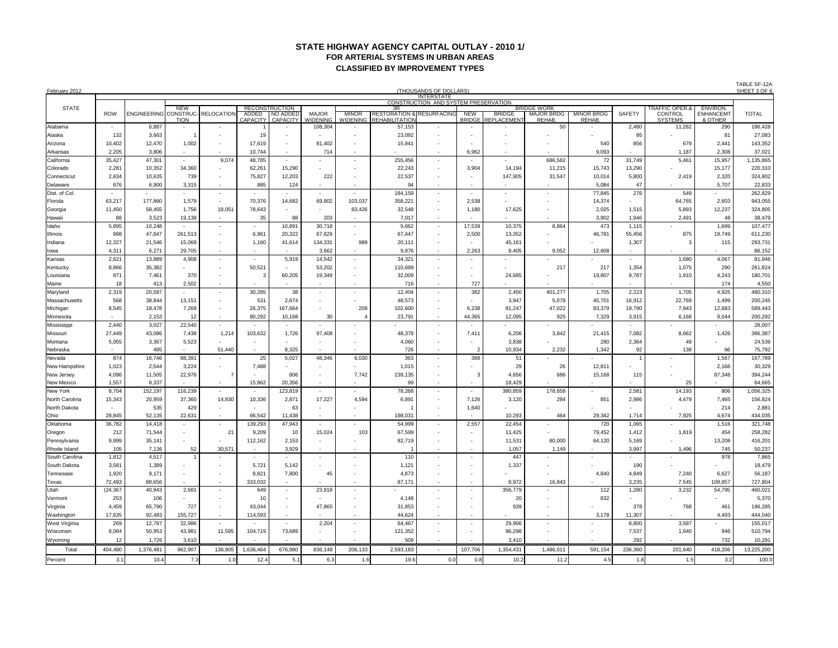# **STATE HIGHWAY AGENCY CAPITAL OUTLAY - 2010 1/ FOR ARTERIAL SYSTEMS IN URBAN AREAS CLASSIFIED BY IMPROVEMENT TYPES**

| February 2012          |                          |                              |                           |                                                      |                          |                                                      |                                                      |                                 |                                                                     | (THOUSANDS OF DOLLARS)<br><b>INTERSTATE</b>          |                             |                                   |                                                   |                             |                          |                                                               |                                        | TABLE SF-12A<br>SHEET 3 OF 6 |  |  |  |
|------------------------|--------------------------|------------------------------|---------------------------|------------------------------------------------------|--------------------------|------------------------------------------------------|------------------------------------------------------|---------------------------------|---------------------------------------------------------------------|------------------------------------------------------|-----------------------------|-----------------------------------|---------------------------------------------------|-----------------------------|--------------------------|---------------------------------------------------------------|----------------------------------------|------------------------------|--|--|--|
|                        |                          |                              |                           |                                                      |                          |                                                      |                                                      |                                 |                                                                     | CONSTRUCTION AND SYSTEM PRESERVATION                 |                             |                                   |                                                   |                             |                          |                                                               |                                        |                              |  |  |  |
| <b>STATE</b>           | <b>ROW</b>               | <b>ENGINEERING CONSTRUC-</b> | <b>NEW</b><br><b>TION</b> | RELOCATION                                           | ADDED<br><b>CAPACITY</b> | <b>RECONSTRUCTION</b><br>NO ADDED<br><b>CAPACITY</b> | <b>MAJOR</b><br><b>WIDENING</b>                      | <b>MINOR</b><br><b>WIDENING</b> | 3R<br><b>RESTORATION &amp; RESURFACING</b><br><b>REHABILITATIOI</b> |                                                      | <b>NEW</b><br><b>BRIDGE</b> | <b>BRIDGE</b><br><b>EPLACEMEN</b> | <b>BRIDGE WORK</b><br><b>MAJOR BRDG</b><br>REHAB. | <b>MINOR BRDG</b><br>REHAB. | <b>SAFETY</b>            | <b>TRAFFIC OPER.&amp;</b><br><b>CONTROL</b><br><b>SYSTEMS</b> | ENVIRON.<br><b>ENHANCEM</b><br>& OTHER | <b>TOTAL</b>                 |  |  |  |
| Alabama                | $\overline{\phantom{a}}$ | 6,887                        |                           |                                                      |                          |                                                      | 108,304                                              |                                 | 57,153                                                              |                                                      |                             |                                   | 50                                                |                             | 2,480                    | 11,262                                                        | 290                                    | 186,428                      |  |  |  |
| Alaska                 | 132                      | 3,663                        |                           | $\overline{\phantom{a}}$                             | 19                       |                                                      |                                                      |                                 | 23,092                                                              | $\overline{\phantom{a}}$                             |                             |                                   |                                                   |                             | 95                       |                                                               | 81                                     | 27,083                       |  |  |  |
| Arizona                | 10,402                   | 12,470                       | 1,002                     | $\sim$                                               | 17,619                   |                                                      | 81,402                                               |                                 | 15,941                                                              | $\overline{\phantom{a}}$                             |                             |                                   |                                                   | 540                         | 856                      | 679                                                           | 2,441                                  | 143,352                      |  |  |  |
| Arkansas               | 2,205                    | 3,806                        |                           | $\overline{\phantom{a}}$                             | 10,744                   |                                                      | 714                                                  |                                 |                                                                     | $\overline{\phantom{a}}$                             | 6,962                       |                                   |                                                   | 9,093                       |                          | 1,187                                                         | 2,308                                  | 37,021                       |  |  |  |
| California             | 35,427                   | 47,301                       |                           | 9,074                                                | 48,785                   |                                                      |                                                      |                                 | 255,456                                                             | $\overline{\phantom{a}}$                             |                             |                                   | 686,582                                           | 72                          | 31,749                   | 5,461                                                         | 15,957                                 | 1,135,865                    |  |  |  |
| Colorado               | 2,281                    | 10,352                       | 34,360                    | $\sim$                                               | 62,261                   | 15,290                                               |                                                      |                                 | 22,243                                                              | $\overline{\phantom{a}}$                             | 3,904                       | 14,194                            | 11,215                                            | 15,743                      | 13,290                   |                                                               | 15,177                                 | 220,310                      |  |  |  |
| Connecticut            | 2,634                    | 10,635                       | 739                       | $\sim$                                               | 75,827                   | 12,203                                               | 222                                                  |                                 | 22,537                                                              | $\overline{\phantom{a}}$                             |                             | 147,905                           | 31,547                                            | 10,014                      | 5,800                    | 2,419                                                         | 2,320                                  | 324,802                      |  |  |  |
| Delaware               | 676                      | 6,900                        | 3,315                     |                                                      | 885                      | 124                                                  |                                                      |                                 | 94                                                                  | $\overline{\phantom{a}}$                             |                             |                                   |                                                   | 5,084                       | 47                       |                                                               | 5,707                                  | 22,833                       |  |  |  |
| Dist. of Col.          |                          |                              |                           | $\overline{\phantom{a}}$                             |                          |                                                      | $\sim$                                               |                                 | 184,159                                                             | $\overline{\phantom{a}}$                             |                             | $\overline{\phantom{a}}$          |                                                   | 77,845                      | 276                      | 549                                                           |                                        | 262,829                      |  |  |  |
| Florida                | 63,217                   | 177,860                      | 1,579                     | $\sim$                                               | 70,376                   | 14,682                                               | 69,802                                               | 103,037                         | 358,221                                                             | $\overline{\phantom{a}}$                             | 2,538                       |                                   |                                                   | 14,374                      |                          | 64,765                                                        | 2,603                                  | 943,055                      |  |  |  |
| Georgia                | 11,450                   | 58,455                       | 1,756                     | 18,051                                               | 78,643                   |                                                      |                                                      | 83,426                          | 32,548                                                              | $\overline{\phantom{a}}$                             | 1,180                       | 17,625                            |                                                   | 2,025                       | 1,515                    | 5,893                                                         | 12,237                                 | 324,805                      |  |  |  |
| Hawaii                 | 88                       | 3,523                        | 19,138                    | $\overline{\phantom{a}}$                             | 35                       | 88                                                   | 203                                                  |                                 | 7,017                                                               | $\overline{\phantom{a}}$                             |                             |                                   |                                                   | 3.902                       | 1,946                    | 2,491                                                         | 48                                     | 38,479                       |  |  |  |
| Idaho                  | 5,895                    | 10,248                       |                           | $\sim$                                               |                          | 10,891                                               | 30,718                                               | $\overline{\phantom{a}}$        | 9,662                                                               | $\overline{\phantom{a}}$                             | 17,539                      | 10,375                            | 8,864                                             | 473                         | 1,115                    |                                                               | 1,699                                  | 107,477                      |  |  |  |
| Illinois               | 998                      | 47,647                       | 261,513                   | $\sim$                                               | 6,961                    | 20,322                                               | 67,629                                               |                                 | 67,447                                                              | $\overline{\phantom{a}}$                             | 2,500                       | 13,352                            |                                                   | 46,781                      | 55,456                   | 875                                                           | 19,749                                 | 611,230                      |  |  |  |
| Indiana                | 12,327                   | 21,546                       | 15,069                    | $\sim$                                               | 1,160                    | 41,614                                               | 134,331                                              | 989                             | 20,111                                                              | $\overline{\phantom{a}}$                             |                             | 45,161                            |                                                   |                             | 1,307                    | $\overline{3}$                                                | 115                                    | 293,731                      |  |  |  |
| lowa                   | 4,311                    | 6,271                        | 29,705                    | $\overline{\phantom{a}}$                             |                          |                                                      | 3,662                                                |                                 | 9,876                                                               | $\overline{\phantom{a}}$                             | 2,263                       | 8,405                             | 9,052                                             | 12,608                      | $\overline{\phantom{a}}$ |                                                               |                                        | 86,152                       |  |  |  |
| Kansas                 | 2,621                    | 13,889                       | 4,908                     | $\sim$                                               |                          | 5,919                                                | 14,542                                               | $\overline{\phantom{a}}$        | 34,321                                                              | $\overline{\phantom{a}}$                             |                             |                                   |                                                   |                             |                          | 1,680                                                         | 4,067                                  | 81,946                       |  |  |  |
| Kentucky               | 8,866                    | 35,382                       |                           | $\sim$                                               | 50,521                   |                                                      | 53,202                                               |                                 | 110,699                                                             | $\overline{\phantom{a}}$                             |                             |                                   | 217                                               | 217                         | 1,354                    | 1,075                                                         | 290                                    | 261,824                      |  |  |  |
| Louisiana              | 871                      | 7,461                        | 370                       | $\overline{\phantom{a}}$                             | 3                        | 60,205                                               | 19,349                                               |                                 | 32,009                                                              | $\overline{\phantom{a}}$                             |                             | 24,685                            |                                                   | 19,807                      | 9,787                    | 1,910                                                         | 4,243                                  | 180,701                      |  |  |  |
| Maine                  | 18                       | 413                          | 2,502                     | $\overline{\phantom{a}}$                             |                          |                                                      |                                                      |                                 | 716                                                                 | $\overline{\phantom{a}}$                             | 727                         |                                   |                                                   |                             |                          |                                                               | 174                                    | 4,550                        |  |  |  |
| Maryland               | 2,319                    | 20,597                       |                           |                                                      | 30,285                   | 38                                                   | $\overline{\phantom{a}}$                             |                                 | 12,404                                                              | $\overline{\phantom{a}}$                             | 382                         | 2,450                             | 401,277                                           | 1,705                       | 2,223                    | 1,705                                                         | 4,925                                  | 480,310                      |  |  |  |
| Massachusetts          | 568                      | 38,844                       | 13,151                    | $\sim$                                               | 531                      | 2,674                                                | $\overline{\phantom{a}}$                             |                                 | 48,573                                                              | $\overline{\phantom{a}}$                             |                             | 3,947                             | 5,078                                             | 45,701                      | 16,912                   | 22,769                                                        | 1,499                                  | 200,245                      |  |  |  |
| Michigan               | 8,545                    | 18,478                       | 7,269                     | $\sim$                                               | 26,375                   | 167,664                                              |                                                      | 209                             | 102,600                                                             | $\overline{\phantom{a}}$                             | 6,238                       | 81,247                            | 47,022                                            | 83,379                      | 19,790                   | 7,943                                                         | 12,683                                 | 589,443                      |  |  |  |
| Minnesota              |                          | 2,153                        | 12                        |                                                      | 80,292                   | 10,168                                               | 30                                                   |                                 | 23,791                                                              | $\overline{\phantom{a}}$                             | 44,365                      | 12,095                            | 925                                               | 7,329                       | 3,915                    | 6,168                                                         | 9,044                                  | 200,292                      |  |  |  |
| Mississippi            | 2,440                    | 3,027                        | 22,540                    | $\sim$                                               |                          | $\sim$                                               |                                                      | $\overline{\phantom{a}}$        |                                                                     | $\overline{\phantom{a}}$                             |                             |                                   |                                                   |                             |                          |                                                               |                                        | 28,007                       |  |  |  |
| Missouri               | 27,449                   | 43,096                       | 7,438                     | 1,214                                                | 103,632                  | 1,726                                                | 97,408                                               |                                 | 48,379                                                              | $\overline{\phantom{a}}$                             | 7,411                       | 6,206                             | 3,842                                             | 21,415                      | 7,082                    | 8,662                                                         | 1,426                                  | 386,387                      |  |  |  |
| Montana                | 5,055                    | 3,367                        | 5,523                     | $\overline{\phantom{a}}$                             |                          |                                                      |                                                      |                                 | 4,060                                                               | $\overline{\phantom{a}}$                             |                             | 3,838                             |                                                   | 280                         | 2,364                    | 49                                                            |                                        | 24,536                       |  |  |  |
| Nebraska               |                          | 495                          |                           | 51,440                                               |                          | 8,325                                                |                                                      |                                 | 726                                                                 | $\overline{\phantom{a}}$                             | $\overline{2}$              | 10,934                            | 2,232                                             | 1,342                       | 92                       | 138                                                           | 66                                     | 75,792                       |  |  |  |
| Nevada                 | 874                      | 16,746                       | 88,391                    |                                                      | 25                       | 5,027                                                | 48,346                                               | 6,030                           | 363                                                                 | $\overline{\phantom{a}}$                             | 368                         | 51                                |                                                   |                             | $\overline{1}$           |                                                               | 1,567                                  | 167,789                      |  |  |  |
| New Hampshire          | 1,023                    | 2,544                        | 3,224                     | $\sim$<br>7                                          | 7,488                    | $\overline{\phantom{0}}$                             |                                                      |                                 | 1,015                                                               | $\overline{\phantom{a}}$                             |                             | 29                                | 26                                                | 12,811                      |                          |                                                               | 2,168                                  | 30,329                       |  |  |  |
| New Jersey             | 4,096                    | 11,505<br>8,337              | 22,976                    |                                                      |                          | 806                                                  | $\overline{\phantom{a}}$                             | 7,742                           | 239,135<br>99                                                       | $\overline{\phantom{a}}$                             | 3                           | 4,656<br>18,429                   | 686                                               | 15,168                      | 115                      | 25                                                            | 87,348                                 | 394,244                      |  |  |  |
| New Mexico<br>New York | 1,557<br>8,704           | 152,197                      | 116,239                   | $\overline{\phantom{0}}$<br>$\overline{\phantom{a}}$ | 15,862                   | 20,356<br>123,819                                    | $\overline{\phantom{a}}$<br>$\overline{\phantom{a}}$ |                                 | 78,268                                                              | $\overline{\phantom{a}}$<br>$\overline{\phantom{a}}$ |                             | 380,859                           | 178,658                                           |                             | 2,581                    | 14,193                                                        | 806                                    | 64,665<br>1,056,325          |  |  |  |
| North Carolina         | 15,343                   | 20,959                       | 37,360                    | 14,930                                               | 10,336                   | 2,871                                                | 17,227                                               | 4,594                           | 6,891                                                               | $\overline{\phantom{a}}$                             | 7,126                       | 3,120                             | 284                                               | 851                         | 2,986                    | 4,479                                                         | 7,465                                  | 156,824                      |  |  |  |
| North Dakota           |                          | 535                          | 429                       | $\overline{\phantom{a}}$                             |                          | 63                                                   |                                                      |                                 |                                                                     | $\overline{\phantom{a}}$                             | 1,640                       |                                   |                                                   |                             |                          |                                                               | 214                                    | 2,881                        |  |  |  |
| Ohio                   | 28,845                   | 52,135                       | 22,631                    | $\sim$                                               | 66,542                   | 11,438                                               |                                                      |                                 | 198,031                                                             | $\overline{\phantom{a}}$                             |                             | 10,293                            | 464                                               | 29,342                      | 1,714                    | 7,925                                                         | 4,674                                  | 434,035                      |  |  |  |
| Oklahoma               | 36,782                   | 14,418                       |                           |                                                      | 139,293                  | 47,943                                               |                                                      |                                 | 54,999                                                              | $\overline{\phantom{a}}$                             | 2,557                       | 22,454                            |                                                   | 720                         | 1,065                    |                                                               | 1,516                                  | 321,748                      |  |  |  |
| Oregon                 | 212                      | 71,544                       |                           | 21                                                   | 9,209                    | 10                                                   | 15,024                                               | 103                             | 67,599                                                              | $\overline{\phantom{a}}$                             |                             | 11,425                            |                                                   | 79,452                      | 1,412                    | 1,819                                                         | 454                                    | 258,282                      |  |  |  |
| Pennsylvania           | 9,999                    | 35,141                       | $\overline{\phantom{a}}$  | $\overline{\phantom{a}}$                             | 112,162                  | 2,153                                                | $\sim$                                               |                                 | 82,719                                                              | $\overline{\phantom{a}}$                             |                             | 11,531                            | 80,000                                            | 64,120                      | 5,169                    |                                                               | 13,208                                 | 416,201                      |  |  |  |
| Rhode Island           | 105                      | 7,136                        | 52                        | 30,571                                               |                          | 3,929                                                | $\overline{\phantom{a}}$                             |                                 |                                                                     | $\overline{\phantom{a}}$                             |                             | 1,057                             | 1,149                                             | $\overline{\phantom{a}}$    | 3,997                    | 1,496                                                         | 745                                    | 50,237                       |  |  |  |
| South Carolina         | 1,812                    | 4,517                        |                           |                                                      |                          |                                                      |                                                      |                                 | 110                                                                 |                                                      |                             | 447                               |                                                   |                             |                          |                                                               | 978                                    | 7,865                        |  |  |  |
| South Dakota           | 3,581                    | 1,389                        |                           | $\overline{\phantom{a}}$                             | 5,721                    | 5,142                                                |                                                      |                                 | 1,121                                                               |                                                      |                             | 1,337                             |                                                   |                             | 190                      |                                                               |                                        | 18,479                       |  |  |  |
| Tennessee              | 1,920                    | 9,171                        |                           |                                                      | 8,821                    | 7,800                                                |                                                      |                                 | 4,873                                                               |                                                      |                             |                                   |                                                   | 4,840                       | 4,849                    | 7,240                                                         | 6,627                                  | 56,187                       |  |  |  |
| Texas                  | 72,493                   | 88,656                       |                           |                                                      | 333,032                  | $\overline{\phantom{a}}$                             |                                                      |                                 | 87,171                                                              |                                                      |                             | 8,972                             | 16,843                                            |                             | 3,235                    | 7,545                                                         | 109,857                                | 727,804                      |  |  |  |
| Utah                   | (24, 367)                | 40,943                       | 2,681                     |                                                      | 649                      |                                                      | 23,918                                               |                                 |                                                                     |                                                      |                             | 356,779                           |                                                   | 112                         | 1,280                    | 3,232                                                         | 54,795                                 | 460,021                      |  |  |  |
| Vermont                | 253                      | 106                          | $\sim$                    | $\sim$                                               | 10                       | $\overline{\phantom{a}}$                             |                                                      |                                 | 4,148                                                               | $\overline{\phantom{a}}$                             |                             | 20                                |                                                   | 832                         |                          |                                                               | $\sim$                                 | 5,370                        |  |  |  |
| Virginia               | 4,459                    | 65,790                       | 727                       | $\sim$                                               | 43,044                   |                                                      | 47,865                                               |                                 | 31,853                                                              | $\overline{\phantom{a}}$                             |                             | 939                               | $\overline{\phantom{a}}$                          |                             | 378                      | 768                                                           | 461                                    | 196,285                      |  |  |  |
| Washington             | 17,635                   | 92,483                       | 155,727                   | $\sim$                                               | 114,593                  | $\overline{\phantom{a}}$                             | $\overline{\phantom{a}}$                             |                                 | 44,624                                                              | $\overline{\phantom{a}}$                             |                             |                                   | $\overline{\phantom{a}}$                          | 3,178                       | 11,307                   |                                                               | 4,493                                  | 444,040                      |  |  |  |
| <b>West Virginia</b>   | 269                      | 12,787                       | 32,986                    |                                                      |                          | $\overline{\phantom{a}}$                             | 2,204                                                |                                 | 64,467                                                              | $\overline{\phantom{a}}$                             |                             | 29,906                            | $\overline{\phantom{a}}$                          |                             | 8,800                    | 3,597                                                         |                                        | 155,017                      |  |  |  |
| Wisconsin              | 8,084                    | 50,953                       | 43,981                    | 11,595                                               | 104,719                  | 73,689                                               |                                                      |                                 | 121,352                                                             | $\overline{\phantom{a}}$                             |                             | 86,298                            |                                                   | $\overline{\phantom{a}}$    | 7,537                    | 1,640                                                         | 946                                    | 510,794                      |  |  |  |
| Wyoming                | 12                       | 1,726                        | 3,610                     | $\sim$                                               |                          | $\overline{\phantom{a}}$                             |                                                      |                                 | 509                                                                 | $\overline{\phantom{a}}$                             |                             | 3,410                             |                                                   | $\overline{\phantom{a}}$    | 292                      |                                                               | 732                                    | 10,291                       |  |  |  |
| Total                  | 404,490                  | 1,376,481                    | 962,907                   | 136,905                                              | 1,636,464                | 676,980                                              | 836,148                                              | 206,133                         | 2,593,183                                                           | $\overline{\phantom{a}}$                             | 107,706                     | 1,354,431                         | 1,486,011                                         | 591,154                     | 236,360                  | 201,640                                                       | 418,206                                | 13,225,200                   |  |  |  |
|                        | 3.1                      | 10.4                         |                           | 1.0                                                  | 12.4                     | 5.1                                                  | 6.3                                                  |                                 |                                                                     | 0.0                                                  |                             |                                   | 11.2                                              |                             | 1.8                      |                                                               | 3.2                                    | 100.0                        |  |  |  |
| Percent                |                          |                              | 7.3                       |                                                      |                          |                                                      |                                                      | 1.6                             | 19.6                                                                |                                                      | 0.8                         | 10.2                              |                                                   | 4.5                         |                          | 1.5                                                           |                                        |                              |  |  |  |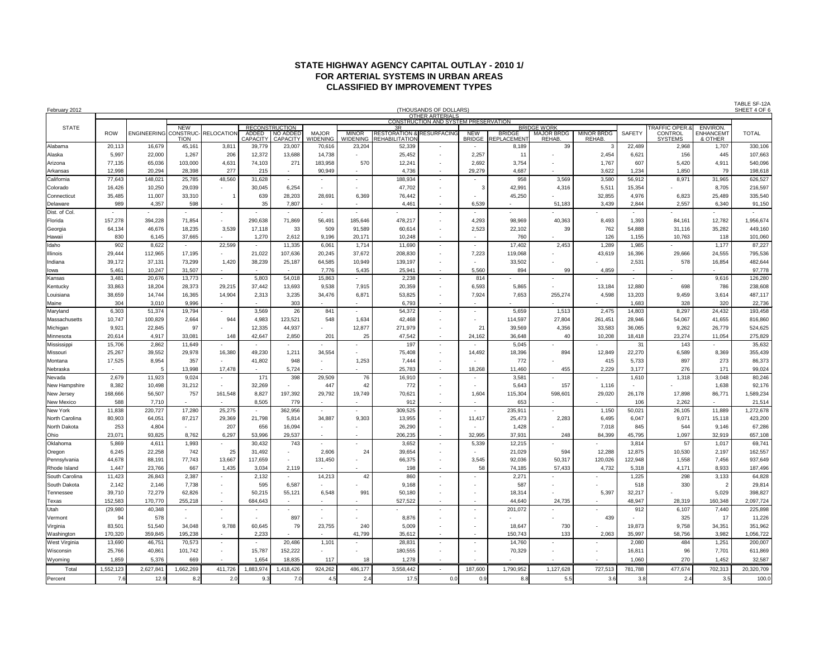# **STATE HIGHWAY AGENCY CAPITAL OUTLAY - 2010 1/ FOR ARTERIAL SYSTEMS IN URBAN AREAS CLASSIFIED BY IMPROVEMENT TYPES**

| February 2012  |            |             |                       |                          |                           |                           |                          |                          |                                 | (THOUSANDS OF DOLLARS)                                         |                          |                     |                          |                          |                          |                         |                  | SHEET 4 OF 6 |
|----------------|------------|-------------|-----------------------|--------------------------|---------------------------|---------------------------|--------------------------|--------------------------|---------------------------------|----------------------------------------------------------------|--------------------------|---------------------|--------------------------|--------------------------|--------------------------|-------------------------|------------------|--------------|
|                |            |             |                       |                          |                           |                           |                          |                          |                                 | <b>OTHER ARTERIALS</b><br>CONSTRUCTION AND SYSTEM PRESERVATION |                          |                     |                          |                          |                          |                         |                  |              |
| <b>STATE</b>   |            |             | <b>NEW</b>            |                          |                           | <b>RECONSTRUCTION</b>     |                          |                          |                                 |                                                                |                          |                     | <b>BRIDGE WORK</b>       |                          |                          | <b>RAFFIC OPER.8</b>    | ENVIRON.         |              |
|                | <b>ROW</b> | ENGINEERING | CONSTRUC              | <b>RELOCATION</b>        | <b>ADDED</b>              | <b>NO ADDED</b>           | <b>MAJOR</b>             | <b>MINOR</b>             | <b>RESTORATION</b>              | <b>RESURFACING</b>                                             | <b>NEW</b>               | <b>BRIDGE</b>       | <b>MAJOR BRDG</b>        | <b>MINOR BRDG</b>        | <b>SAFETY</b>            | <b>CONTROL</b>          | <b>ENHANCEM1</b> | <b>TOTAL</b> |
| Alabama        | 20,113     | 16,679      | <b>TION</b><br>45,161 | 3,811                    | <b>CAPACITY</b><br>39,779 | <b>CAPACITY</b><br>23,007 | VIDENING<br>70,616       | WIDENING<br>23,204       | <b>REHABILITATION</b><br>52,339 | $\overline{\phantom{a}}$                                       | <b>BRIDGE</b>            | REPLACEMEN<br>8,189 | <b>REHAB</b><br>39       | <b>REHAB</b>             | 22,489                   | <b>SYSTEMS</b><br>2,968 | & OTHER<br>1,707 | 330,106      |
|                |            |             |                       |                          |                           |                           |                          |                          |                                 |                                                                |                          |                     |                          |                          |                          |                         |                  |              |
| Alaska         | 5,997      | 22,000      | 1,267                 | 206                      | 12,372                    | 13,688                    | 14,738                   |                          | 25,452                          |                                                                | 2,257                    | 11                  |                          | 2,454                    | 6,621                    | 156                     | 445              | 107,663      |
| Arizona        | 77,135     | 65,036      | 103,000               | 4,631                    | 74,103                    | 271                       | 183,958                  | 570                      | 12,241                          | $\overline{\phantom{a}}$                                       | 2,692                    | 3,754               |                          | 1,767                    | 607                      | 5,420                   | 4,911            | 540,096      |
| Arkansas       | 12,998     | 20,294      | 28,398                | 277                      | 215                       |                           | 90,949                   |                          | 4,736                           |                                                                | 29,279                   | 4,687               |                          | 3,622                    | 1,234                    | 1,850                   | 79               | 198,618      |
| California     | 77,643     | 148,021     | 25,785                | 48,560                   | 31,628                    |                           |                          |                          | 188,934                         |                                                                | $\overline{\phantom{a}}$ | 958                 | 3,569                    | 3,580                    | 56,912                   | 8,971                   | 31,965           | 626,527      |
| Colorado       | 16,426     | 10,250      | 29,039                | $\overline{\phantom{a}}$ | 30,045                    | 6,254                     |                          |                          | 47,702                          | $\overline{\phantom{a}}$                                       | 3                        | 42,991              | 4,316                    | 5,51'                    | 15,354                   |                         | 8,705            | 216,597      |
| Connecticut    | 35,485     | 11,007      | 33,310                |                          | 639                       | 28,203                    | 28,691                   | 6,369                    | 76,442                          |                                                                |                          | 45,250              |                          | 32,855                   | 4,976                    | 6,823                   | 25,489           | 335,540      |
| Delaware       | 989        | 4,357       | 598                   | $\overline{\phantom{a}}$ | 35                        | 7,807                     |                          |                          | 4,461                           | $\overline{\phantom{a}}$                                       | 6,539                    |                     | 51,183                   | 3,439                    | 2,844                    | 2,557                   | 6,340            | 91,150       |
| Dist. of Col.  |            |             |                       | $\overline{\phantom{a}}$ |                           |                           |                          |                          |                                 |                                                                | $\overline{\phantom{a}}$ |                     |                          |                          |                          |                         |                  |              |
| Florida        | 157,278    | 394,228     | 71,854                |                          | 290,638                   | 71,869                    | 56,491                   | 185,646                  | 478,217                         | $\overline{\phantom{a}}$                                       | 4,293                    | 98,969              | 40,363                   | 8,493                    | 1,393                    | 84,161                  | 12,782           | 1,956,674    |
| Georgia        | 64,134     | 46,676      | 18,235                | 3,539                    | 17,118                    | 33                        | 509                      | 91,589                   | 60,614                          | $\overline{\phantom{a}}$                                       | 2,523                    | 22,102              | 39                       | 762                      | 54,888                   | 31,116                  | 35,282           | 449,160      |
| Hawaii         | 830        | 6,145       | 37,665                |                          | 1,270                     | 2,612                     | 9,196                    | 20,171                   | 10,248                          |                                                                | $\overline{\phantom{a}}$ | 760                 |                          | 126                      | 1,155                    | 10,763                  | 118              | 101,060      |
| Idaho          | 902        | 8,622       |                       | 22,599                   |                           | 11,335                    | 6,061                    | 1,714                    | 11,690                          |                                                                | $\overline{\phantom{a}}$ | 17,402              | 2,453                    | 1,289                    | 1,985                    |                         | 1,177            | 87,227       |
| llinois        | 29,444     | 112,965     | 17,195                |                          | 21,022                    | 107,636                   | 20,245                   | 37,672                   | 208,830                         |                                                                | 7,223                    | 119,068             |                          | 43,619                   | 16,396                   | 29,666                  | 24,555           | 795,536      |
| Indiana        | 39,172     | 37,131      | 73,299                | 1,420                    | 38,239                    | 25,187                    | 64,585                   | 10,949                   | 139,197                         | $\overline{\phantom{a}}$                                       | $\blacksquare$           | 33,502              |                          |                          | 2,531                    | 578                     | 16,854           | 482,644      |
| lowa           | 5,461      | 10,247      | 31,507                | $\overline{\phantom{a}}$ |                           | $\sim$                    | 7,776                    | 5,435                    | 25,941                          | $\overline{\phantom{a}}$                                       | 5,560                    | 894                 | 99                       | 4,859                    |                          |                         |                  | 97,778       |
| Kansas         | 3,481      | 20,676      | 13,773                |                          | 5,803                     | 54,018                    | 15,863                   |                          | 2,238                           |                                                                | 814                      |                     |                          |                          | $\overline{\phantom{a}}$ |                         | 9,616            | 126,280      |
| Kentucky       | 33,863     | 18,204      | 28,373                | 29,215                   | 37,442                    | 13,693                    | 9,538                    | 7,915                    | 20,359                          |                                                                | 6,593                    | 5,865               |                          | 13,184                   | 12,880                   | 698                     | 786              | 238,608      |
| Louisiana      | 38,659     | 14,744      | 16,365                | 14,904                   | 2,313                     | 3,235                     | 34,476                   | 6,871                    | 53,825                          | $\overline{\phantom{a}}$                                       | 7,924                    | 7,653               | 255,274                  | 4,598                    | 13,203                   | 9,459                   | 3,614            | 487,117      |
| Maine          | 304        | 3,010       | 9,996                 |                          |                           | 303                       |                          |                          | 6,793                           | $\overline{\phantom{a}}$                                       | $\overline{\phantom{a}}$ |                     |                          |                          | 1,683                    | 328                     | 320              | 22,736       |
| Maryland       | 6,303      | 51,374      | 19,794                |                          | 3,569                     | 26                        | 841                      |                          | 54,372                          |                                                                | $\overline{\phantom{a}}$ | 5,659               | 1,513                    | 2,475                    | 14,803                   | 8,297                   | 24,432           | 193,458      |
| Massachusetts  | 10,747     | 100,829     | 2,664                 | 944                      | 4,983                     | 123,521                   | 548                      | 1,634                    | 42,468                          | $\overline{\phantom{a}}$                                       | $\overline{\phantom{a}}$ | 114,597             | 27,804                   | 261,451                  | 28,946                   | 54,067                  | 41,655           | 816,860      |
| Michigan       | 9,921      | 22,845      | 97                    |                          | 12,335                    | 44,937                    |                          | 12,877                   | 271,979                         |                                                                | 21                       | 39,569              | 4,356                    | 33,583                   | 36,065                   | 9,262                   | 26,779           | 524,625      |
| Minnesota      | 20,614     | 4,917       | 33,081                | 148                      | 42,647                    | 2,850                     | 201                      | 25                       | 47,542                          | $\sim$                                                         | 24,162                   | 36,648              | 40                       | 10,208                   | 18,418                   | 23,274                  | 11,054           | 275,829      |
| Mississippi    | 15,706     | 2,862       | 11,649                |                          |                           |                           |                          |                          | 197                             |                                                                |                          | 5,045               |                          |                          | 31                       | 143                     |                  | 35,632       |
| Missouri       | 25,267     | 39,552      | 29,978                | 16,380                   | 49,230                    | 1,211                     | 34,554                   |                          | 75,408                          | $\overline{\phantom{a}}$                                       | 14,492                   | 18,396              | 894                      | 12,849                   | 22,270                   | 6,589                   | 8,369            | 355,439      |
| Montana        | 17,525     | 8,954       | 357                   |                          | 41,802                    | 948                       | $\overline{\phantom{a}}$ | 1,253                    | 7,444                           | $\overline{\phantom{a}}$                                       |                          | 772                 |                          | 415                      | 5,733                    | 897                     | 273              | 86,373       |
| Nebraska       |            |             | 13,998                | 17,478                   |                           | 5,724                     |                          |                          | 25,783                          |                                                                | 18,268                   | 11,460              | 455                      | 2,229                    | 3,177                    | 276                     | 171              | 99,024       |
| Nevada         | 2,679      | 11,923      | 9,024                 |                          | 171                       | 398                       | 29,509                   | 76                       | 16,910                          |                                                                | $\overline{\phantom{a}}$ | 3,581               |                          |                          | 1,610                    | 1,318                   | 3,048            | 80,246       |
| New Hampshire  | 8,382      | 10,498      | 31,212                |                          | 32,269                    |                           | 447                      | 42                       | 772                             |                                                                | $\overline{\phantom{a}}$ | 5,643               | 157                      | 1,116                    |                          |                         | 1,638            | 92,176       |
| New Jersey     | 168,666    | 56,507      | 757                   | 161,548                  | 8,827                     | 197,392                   | 29,792                   | 19,749                   | 70,621                          | $\overline{\phantom{a}}$                                       | 1,604                    | 115,304             | 598,601                  | 29,020                   | 26,178                   | 17,898                  | 86,771           | 1,589,234    |
| New Mexico     | 588        | 7,710       |                       |                          | 8,505                     | 779                       |                          |                          | 912                             | $\overline{\phantom{a}}$                                       | $\overline{\phantom{a}}$ | 653                 |                          |                          | 106                      | 2,262                   |                  | 21,514       |
| New York       | 11,838     | 220,727     | 17,280                | 25,275                   | $\sim$                    | 362,956                   | $\overline{\phantom{a}}$ |                          | 309,525                         | $\overline{\phantom{a}}$                                       | $\overline{\phantom{a}}$ | 235,911             |                          | 1,150                    | 50,021                   | 26,105                  | 11,889           | 1,272,678    |
|                |            |             |                       |                          | 21,798                    |                           |                          |                          |                                 | $\overline{\phantom{a}}$                                       |                          |                     |                          |                          |                          |                         | 15,118           | 423,200      |
| North Carolina | 80,903     | 64,051      | 87,217                | 29,369                   |                           | 5,814                     | 34,887                   | 9,303                    | 13,955                          |                                                                | 11,417                   | 25,473              | 2,283                    | 6,495                    | 6,047                    | 9,071                   |                  |              |
| North Dakota   | 253        | 4,804       |                       | 207                      | 656                       | 16,094                    | $\overline{\phantom{a}}$ |                          | 26,290                          | $\overline{\phantom{a}}$                                       |                          | 1,428               |                          | 7,018                    | 845                      | 544                     | 9,146            | 67,286       |
| Ohio           | 23,071     | 93,825      | 8,762                 | 6,297                    | 53,996                    | 29,537                    |                          |                          | 206,235                         |                                                                | 32,995                   | 37,931              | 248                      | 84,399                   | 45,795                   | 1,097                   | 32,919           | 657,108      |
| Oklahoma       | 5,869      | 4,611       | 1,993                 |                          | 30,432                    | 743                       |                          |                          | 3,652                           |                                                                | 5,339                    | 12,215              |                          |                          | 3,814                    | 57                      | 1,017            | 69,741       |
| Oregon         | 6,245      | 22,258      | 742                   | 25                       | 31,492                    | $\overline{\phantom{a}}$  | 2,606                    | 24                       | 39,654                          | $\overline{\phantom{a}}$                                       | $\overline{\phantom{a}}$ | 21,029              | 594                      | 12,288                   | 12,875                   | 10,530                  | 2,197            | 162,557      |
| Pennsylvania   | 44,678     | 88,191      | 77,743                | 13,667                   | 117,659                   |                           | 131,450                  |                          | 66,375                          | $\overline{\phantom{a}}$                                       | 3,545                    | 92,036              | 50,317                   | 120,026                  | 122,948                  | 1,558                   | 7,456            | 937,649      |
| Rhode Island   | 1,447      | 23,766      | 667                   | 1,435                    | 3,034                     | 2,119                     |                          |                          | 198                             | $\overline{\phantom{a}}$                                       | 58                       | 74,185              | 57,433                   | 4,732                    | 5,318                    | 4,171                   | 8,933            | 187,496      |
| South Carolina | 11,423     | 26,843      | 2,387                 |                          | 2,132                     |                           | 14,213                   | 42                       | 860                             |                                                                |                          | 2,271               |                          |                          | 1,225                    | 298                     | 3,133            | 64,828       |
| South Dakota   | 2,142      | 2,146       | 7,738                 |                          | 595                       | 6,587                     |                          |                          | 9,168                           |                                                                |                          | 587                 |                          |                          | 518                      | 330                     | $\overline{2}$   | 29,814       |
| Tennessee      | 39,710     | 72,279      | 62,826                |                          | 50,215                    | 55,121                    | 6,548                    | 991                      | 50,180                          |                                                                |                          | 18,314              |                          | 5,397                    | 32,217                   |                         | 5,029            | 398,827      |
| rexas          | 152,583    | 170,770     | 255,218               |                          | 684,643                   |                           |                          |                          | 527,522                         |                                                                |                          | 44,640              | 24,735                   |                          | 48,947                   | 28,319                  | 160,348          | 2,097,724    |
| Utah           | (29, 980)  | 40,348      |                       | $\overline{\phantom{a}}$ |                           |                           |                          |                          |                                 |                                                                | $\overline{\phantom{a}}$ | 201,072             |                          |                          | 912                      | 6,107                   | 7,440            | 225,898      |
| Vermont        | 94         | 578         |                       | $\overline{\phantom{a}}$ |                           | 897                       |                          |                          | 8,876                           |                                                                |                          |                     |                          | 439                      |                          | 325                     | 17               | 11,226       |
| Virginia       | 83,501     | 51,540      | 34,048                | 9,788                    | 60,645                    | 79                        | 23,755                   | 240                      | 5,009                           |                                                                | $\overline{\phantom{a}}$ | 18,647              | 730                      |                          | 19,873                   | 9,758                   | 34,351           | 351,962      |
| Washington     | 170,320    | 359,845     | 195,238               |                          | 2,233                     |                           |                          | 41,799                   | 35,612                          |                                                                | $\overline{\phantom{a}}$ | 150,743             | 133                      | 2,063                    | 35,997                   | 58,756                  | 3,982            | 1,056,722    |
| West Virginia  | 13,690     | 46,751      | 70,573                | $\sim$                   | $\sim$                    | 20,486                    | 1,101                    |                          | 28,831                          | $\overline{\phantom{a}}$                                       | $\overline{\phantom{a}}$ | 14,760              |                          |                          | 2,080                    | 484                     | 1,251            | 200,007      |
| Wisconsin      | 25,766     | 40,861      | 101,742               | $\overline{\phantom{a}}$ | 15,787                    | 152,222                   | $\overline{\phantom{a}}$ | $\overline{\phantom{a}}$ | 180,555                         | $\sim$                                                         | $\overline{\phantom{a}}$ | 70,329              | $\overline{\phantom{a}}$ | $\overline{\phantom{a}}$ | 16,811                   | 96                      | 7,701            | 611,869      |
| Wyoming        | 1,859      | 5,376       | 669                   | $\overline{\phantom{a}}$ | 1,654                     | 18,835                    | 117                      | 18                       | 1,278                           |                                                                |                          |                     | $\overline{\phantom{a}}$ |                          | 1,060                    | 270                     | 1,452            | 32,587       |
| Total          | 1,552,123  | 2,627,841   | 1,662,269             | 411,726                  | 1,883,974                 | 1,418,426                 | 924,262                  | 486,177                  | 3,558,442                       |                                                                | 187,600                  | 1,790,952           | 1,127,628                | 727,513                  | 781,788                  | 477,674                 | 702,313          | 20,320,709   |
|                |            |             |                       |                          |                           |                           |                          |                          |                                 |                                                                |                          |                     |                          |                          |                          |                         |                  |              |
| Percent        | 7.6        | 12.9        | 8.2                   | 2.0                      | 9.3                       | 7.0                       | 4.5                      | 2.4                      | 17.5                            | 0.0                                                            | 0.9                      | 8.8                 | 5.5                      | 3.6                      | 3.8                      | 2.4                     | 3.5              | 100.0        |

TABLE SF-12A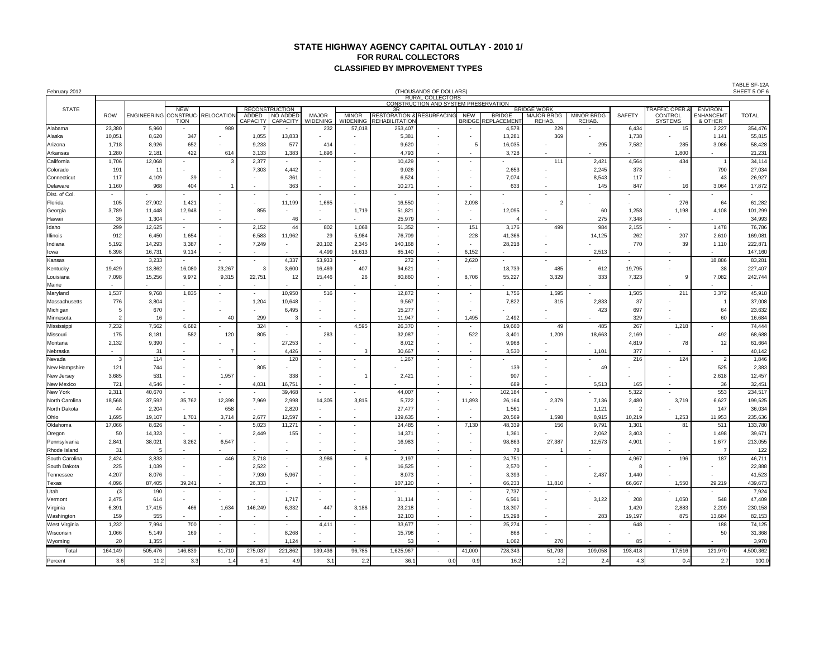#### **STATE HIGHWAY AGENCY CAPITAL OUTLAY - 2010 1/ FOR RURAL COLLECTORS CLASSIFIED BY IMPROVEMENT TYPES**

| February 2012  |                          |                    |                          |                          |                          |                             |                                 |                          |                                           | (THOUSANDS OF DOLLARS)                                          |                          |                            |                             |                             |                          |                                  |                             | TABLE SF-12A<br>SHEET 5 OF 6 |
|----------------|--------------------------|--------------------|--------------------------|--------------------------|--------------------------|-----------------------------|---------------------------------|--------------------------|-------------------------------------------|-----------------------------------------------------------------|--------------------------|----------------------------|-----------------------------|-----------------------------|--------------------------|----------------------------------|-----------------------------|------------------------------|
|                |                          |                    |                          |                          |                          |                             |                                 |                          |                                           | <b>RURAL COLLECTORS</b><br>CONSTRUCTION AND SYSTEM PRESERVATION |                          |                            |                             |                             |                          |                                  |                             |                              |
| <b>STATE</b>   |                          |                    | <b>NEW</b>               |                          |                          | <b>RECONSTRUCTION</b>       |                                 |                          | 3R                                        |                                                                 |                          |                            | <b>BRIDGE WORK</b>          |                             |                          | <b>FRAFFIC OPER.8</b>            | ENVIRON.                    |                              |
|                | <b>ROW</b>               | <b>ENGINEERING</b> | CONSTRUC-<br>TION        | <b>RELOCATIO</b>         | ADDED<br>CAPACITY        | NO ADDED<br><b>CAPACITY</b> | <b>MAJOR</b><br><b>WIDENING</b> | <b>MINOR</b><br>WIDENING | <b>RESTORATION 8</b><br>REHABIL<br>ITATIO | RESURFACING                                                     | NEW<br>BRIDGE            | <b>BRIDGE</b><br>EPLACEMEN | <b>MAJOR BRDG</b><br>REHAB. | <b>MINOR BRDG</b><br>REHAB. | <b>SAFETY</b>            | <b>CONTROL</b><br><b>SYSTEMS</b> | <b>ENHANCEMT</b><br>& OTHER | <b>TOTAL</b>                 |
| Alabama        | 23,380                   | 5,960              |                          | 989                      |                          |                             | 232                             | 57,018                   | 253,407                                   |                                                                 |                          | 4,578                      | 229                         |                             | 6,434                    | 15                               | 2,227                       | 354,476                      |
| Alaska         | 10,051                   | 8,620              | 347                      |                          | 1,055                    | 13,833                      |                                 |                          | 5,381                                     |                                                                 |                          | 13,281                     | 369                         |                             | 1,738                    |                                  | 1,141                       | 55,815                       |
| Arizona        | 1,718                    | 8,926              | 652                      |                          | 9,233                    | 577                         | 414                             |                          | 9,620                                     | $\overline{\phantom{a}}$                                        |                          | 16,035                     |                             | 295                         | 7,582                    | 285                              | 3,086                       | 58,428                       |
| Arkansas       | 1,280                    | 2,181              | 422                      | 614                      | 3,133                    | 1,383                       | 1,896                           |                          | 4,793                                     |                                                                 |                          | 3,728                      |                             |                             |                          | 1,800                            |                             | 21,231                       |
| California     | 1,706                    | 12,068             |                          |                          | 2,377                    |                             |                                 | $\overline{\phantom{a}}$ | 10,429                                    | $\overline{\phantom{a}}$                                        |                          |                            | 111                         | 2,421                       | 4,564                    | 434                              | $\mathbf{1}$                | 34,114                       |
| Colorado       | 191                      | 11                 |                          |                          | 7,303                    | 4,442                       |                                 |                          | 9,026                                     |                                                                 |                          | 2,653                      |                             | 2,245                       | 373                      |                                  | 790                         | 27,034                       |
| Connecticut    | 117                      | 4,109              | 39                       |                          |                          | 361                         |                                 |                          | 6,524                                     |                                                                 |                          | 7,074                      |                             | 8,543                       | 117                      |                                  | 43                          | 26,927                       |
| Delaware       | 1,160                    | 968                | 404                      |                          |                          | 363                         |                                 | $\overline{\phantom{a}}$ | 10,271                                    | $\overline{\phantom{a}}$                                        |                          | 633                        |                             | 145                         | 847                      | 16                               | 3,064                       | 17,872                       |
| Dist. of Col.  |                          |                    |                          |                          |                          |                             |                                 |                          |                                           |                                                                 |                          |                            |                             |                             |                          |                                  |                             |                              |
| Florida        | 105                      | 27,902             | 1,421                    |                          |                          | 11,199                      | 1,665                           | $\overline{\phantom{a}}$ | 16,550                                    | $\overline{\phantom{a}}$                                        | 2,098                    |                            | $\overline{2}$              |                             | $\overline{\phantom{a}}$ | 276                              | 64                          | 61,282                       |
| Georgia        | 3,789                    | 11,448             | 12,948                   |                          | 855                      |                             |                                 | 1,719                    | 51,821                                    | $\overline{\phantom{a}}$                                        |                          | 12,095                     |                             | 60                          | 1,258                    | 1,198                            | 4,108                       | 101,299                      |
| Hawaii         | 36                       | 1,304              | $\overline{\phantom{a}}$ | $\sim$                   |                          | 46                          |                                 | $\overline{\phantom{a}}$ | 25,979                                    | $\overline{\phantom{a}}$                                        |                          |                            |                             | 275                         | 7,348                    | $\overline{\phantom{a}}$         | $\overline{\phantom{a}}$    | 34,993                       |
| Idaho          | 299                      | 12,625             |                          |                          | 2,152                    | 44                          | 802                             | 1,068                    | 51,352                                    | $\overline{\phantom{a}}$                                        | 151                      | 3,176                      | 499                         | 984                         | 2,155                    |                                  | 1,478                       | 76,786                       |
| Illinois       | 912                      | 6,450              | 1,654                    |                          | 6,583                    | 11,962                      | 29                              | 5,984                    | 76,709                                    | $\overline{\phantom{a}}$                                        | 228                      | 41,366                     |                             | 14,125                      | 262                      | 207                              | 2,610                       | 169,081                      |
| Indiana        | 5,192                    | 14,293             | 3,387                    | $\sim$                   | 7,249                    | $\overline{\phantom{a}}$    | 20,102                          | 2,345                    | 140,168                                   | $\overline{\phantom{a}}$                                        | $\overline{\phantom{a}}$ | 28,218                     |                             |                             | 770                      | 39                               | 1,110                       | 222,871                      |
| lowa           | 6,398                    | 16,731             | 9,114                    |                          |                          |                             | 4,499                           | 16,613                   | 85,140                                    | $\overline{\phantom{a}}$                                        | 6,152                    |                            |                             | 2,513                       |                          |                                  |                             | 147,160                      |
| Kansas         |                          | 3,233              |                          |                          |                          | 4,337                       | 53,933                          |                          | 272                                       |                                                                 | 2,620                    |                            |                             |                             |                          |                                  | 18,886                      | 83,281                       |
| Kentucky       | 19,429                   | 13,862             | 16,080                   | 23,267                   | 3                        | 3,600                       | 16,469                          | 407                      | 94,621                                    | $\overline{\phantom{a}}$                                        |                          | 18,739                     | 485                         | 612                         | 19,795                   |                                  | 38                          | 227,407                      |
| Louisiana      | 7,098                    | 15,256             | 9,972                    | 9,315                    | 22,751                   | 12                          | 15,446                          | 26                       | 80,860                                    | $\overline{\phantom{a}}$                                        | 8,706                    | 55,227                     | 3,329                       | 333                         | 7,323                    | 9                                | 7,082                       | 242,744                      |
| Maine          |                          |                    |                          |                          |                          |                             |                                 |                          |                                           | $\overline{\phantom{a}}$                                        |                          |                            |                             |                             |                          |                                  |                             |                              |
| Maryland       | 1,537                    | 9,768              | 1,835                    |                          | $\overline{\phantom{a}}$ | 10,950                      | 516                             |                          | 12,872                                    |                                                                 |                          | 1,756                      | 1,595                       |                             | 1,505                    | 211                              | 3,372                       | 45,918                       |
| Massachusetts  | 776                      | 3,804              | $\overline{\phantom{a}}$ |                          | 1,204                    | 10,648                      |                                 |                          | 9,567                                     | $\overline{\phantom{a}}$                                        |                          | 7,822                      | 315                         | 2,833                       | 37                       |                                  | -1                          | 37,008                       |
| Michigan       | -5                       | 670                | $\overline{\phantom{0}}$ |                          |                          | 6,495                       |                                 | $\overline{\phantom{a}}$ | 15,277                                    | $\overline{\phantom{a}}$                                        |                          |                            |                             | 423                         | 697                      |                                  | 64                          | 23,632                       |
| Minnesota      |                          | 16                 |                          | 40                       | 299                      | 3                           |                                 |                          | 11,947                                    | $\sim$                                                          | 1,495                    | 2,492                      |                             |                             | 329                      |                                  | 60                          | 16,684                       |
| Mississippi    | 7,232                    | 7,562              | 6,682                    |                          | 324                      |                             |                                 | 4,595                    | 26,370                                    | $\overline{\phantom{a}}$                                        |                          | 19,660                     | 49                          | 485                         | 267                      | 1,218                            |                             | 74,444                       |
| Missouri       | 175                      | 8,181              | 582                      | 120                      | 805                      | $\overline{\phantom{a}}$    | 283                             | $\overline{\phantom{a}}$ | 32,087                                    | $\overline{\phantom{a}}$                                        | 522                      | 3,401                      | 1,209                       | 18,663                      | 2,169                    |                                  | 492                         | 68,688                       |
| Montana        | 2,132                    | 9,390              |                          |                          |                          | 27,253                      |                                 |                          | 8,012                                     | $\overline{\phantom{a}}$                                        |                          | 9,968                      |                             |                             | 4,819                    | 78                               | 12                          | 61,664                       |
| Nebraska       | $\overline{\phantom{a}}$ | -31                | $\overline{\phantom{a}}$ | 7                        | $\overline{\phantom{a}}$ | 4,426                       |                                 | 3                        | 30,667                                    | $\overline{\phantom{a}}$                                        | $\overline{a}$           | 3,530                      |                             | 1,101                       | 377                      |                                  |                             | 40,142                       |
| Nevada         | -3                       | 114                | $\overline{\phantom{a}}$ |                          |                          | 120                         |                                 |                          | 1,267                                     | $\overline{\phantom{a}}$                                        |                          |                            |                             |                             | 216                      | 124                              | 2                           | 1,846                        |
| New Hampshire  | 121                      | 744                | $\overline{\phantom{a}}$ |                          | 805                      |                             |                                 |                          |                                           |                                                                 |                          | 139                        |                             | 49                          |                          |                                  | 525                         | 2,383                        |
| New Jersey     | 3,685                    | 531                | $\overline{\phantom{a}}$ | 1,957                    |                          | 338                         | $\overline{\phantom{0}}$        | -1                       | 2,421                                     | $\overline{\phantom{a}}$                                        |                          | 907                        |                             |                             |                          |                                  | 2,618                       | 12,457                       |
| New Mexico     | 721                      | 4,546              |                          |                          | 4,031                    | 16,751                      |                                 |                          |                                           |                                                                 |                          | 689                        |                             | 5,513                       | 165                      |                                  | 36                          | 32,451                       |
| New York       | 2,311                    | 40,670             |                          |                          |                          | 39,468                      |                                 |                          | 44,007                                    | $\overline{\phantom{a}}$                                        |                          | 102,184                    |                             |                             | 5,322                    |                                  | 553                         | 234,517                      |
| North Carolina | 18,568                   | 37,592             | 35,762                   | 12,398                   | 7,969                    | 2,998                       | 14,305                          | 3,815                    | 5,722                                     | $\overline{\phantom{a}}$                                        | 11,893                   | 26,164                     | 2,379                       | 7,136                       | 2,480                    | 3,719                            | 6,627                       | 199,525                      |
| North Dakota   | 44                       | 2,204              |                          | 658                      | $\overline{\phantom{a}}$ | 2,820                       |                                 | $\overline{\phantom{a}}$ | 27,477                                    | $\sim$                                                          |                          | 1,561                      |                             | 1,121                       | 2                        |                                  | 147                         | 36,034                       |
| Ohio           | 1,695                    | 19,107             | 1,701                    | 3,714                    | 2,677                    | 12,597                      |                                 |                          | 139,635                                   | $\overline{\phantom{a}}$                                        |                          | 20,569                     | 1,598                       | 8,915                       | 10,219                   | 1,253                            | 11,953                      | 235,636                      |
| Oklahoma       | 17,066                   | 8,626              | $\overline{\phantom{a}}$ |                          | 5,023                    | 11,271                      |                                 |                          | 24,485                                    | $\overline{\phantom{a}}$                                        | 7,130                    | 48,339                     | 156                         | 9,791                       | 1,301                    | 81                               | 511                         | 133,780                      |
| Oregon         | 50                       | 14,323             | $\overline{\phantom{a}}$ |                          | 2,449                    | 155                         | $\overline{\phantom{a}}$        | $\overline{\phantom{a}}$ | 14,37'                                    | $\overline{\phantom{a}}$                                        |                          | 1,361                      |                             | 2,062                       | 3,403                    |                                  | 1,498                       | 39,671                       |
| Pennsylvania   | 2,841                    | 38,021             | 3,262                    | 6,547                    |                          | $\overline{\phantom{a}}$    |                                 |                          | 16,983                                    | $\overline{\phantom{a}}$                                        |                          | 98,863                     | 27,387                      | 12,573                      | 4,901                    |                                  | 1,677                       | 213,055                      |
| Rhode Island   | 31                       | 5                  |                          |                          |                          |                             |                                 |                          |                                           |                                                                 |                          | 78                         |                             |                             |                          |                                  | $\overline{7}$              | 122                          |
| South Carolina | 2,424                    | 3,833              |                          | 446                      | 3,718                    |                             | 3,986                           | 6                        | 2,197                                     | $\overline{\phantom{a}}$                                        | $\overline{\phantom{a}}$ | 24,751                     |                             |                             | 4,967                    | 196                              | 187                         | 46,711                       |
| South Dakota   | 225                      | 1,039              |                          |                          | 2,522                    |                             |                                 |                          | 16,525                                    |                                                                 |                          | 2,570                      |                             |                             | -8                       |                                  |                             | 22,888                       |
| Tennessee      | 4,207                    | 8,076              |                          |                          | 7,930                    | 5,967                       |                                 |                          | 8,073                                     |                                                                 |                          | 3,393                      |                             | 2,437                       | 1,440                    |                                  |                             | 41,523                       |
| Texas          | 4,096                    | 87,405             | 39,241                   | $\overline{\phantom{a}}$ | 26,333                   | $\overline{\phantom{a}}$    | $\sim$                          | $\overline{\phantom{a}}$ | 107,120                                   | $\overline{\phantom{a}}$                                        |                          | 66,233                     | 11,810                      |                             | 66,667                   | 1,550                            | 29,219                      | 439,673                      |
| Utah           | (3)                      | 190                | $\overline{\phantom{a}}$ | $\sim$                   |                          |                             | $\sim$                          | $\overline{\phantom{a}}$ |                                           | $\overline{\phantom{a}}$                                        |                          | 7,737                      |                             |                             |                          |                                  |                             | 7,924                        |
| Vermont        | 2,475                    | 614                | $\overline{\phantom{a}}$ | $\sim$                   | $\overline{\phantom{a}}$ | 1,717                       | $\overline{\phantom{a}}$        | $\overline{\phantom{a}}$ | 31,114                                    | $\sim$                                                          | $\overline{\phantom{a}}$ | 6,561                      |                             | 3,122                       | 208                      | 1,050                            | 548                         | 47,409                       |
| Virginia       | 6,391                    | 17,415             | 466                      | 1,634                    | 146,249                  | 6,332                       | 447                             | 3,186                    | 23,218                                    | $\overline{\phantom{a}}$                                        |                          | 18,307                     |                             |                             | 1,420                    | 2,883                            | 2,209                       | 230,158                      |
| Washington     | 159                      | 555                | $\overline{\phantom{a}}$ |                          |                          |                             | $\sim$                          |                          | 32,103                                    | $\overline{\phantom{a}}$                                        |                          | 15,298                     | $\overline{\phantom{a}}$    | 283                         | 19,197                   | 875                              | 13,684                      | 82,153                       |
| West Virginia  | 1,232                    | 7,994              | 700                      | $\sim$                   | $\overline{\phantom{a}}$ | $\sim$                      | 4,411                           | $\sim$                   | 33,677                                    | $\sim$                                                          | $\sim$                   | 25,274                     | $\overline{\phantom{a}}$    |                             | 648                      | $\overline{\phantom{a}}$         | 188                         | 74,125                       |
| Wisconsin      | 1,066                    | 5,149              | 169                      | $\sim$                   |                          | 8,268                       | $\sim$                          | $\overline{\phantom{a}}$ | 15,798                                    | $\sim$                                                          |                          | 868                        |                             |                             |                          |                                  | 50                          | 31,368                       |
| Wyoming        | 20                       | 1,355              | $\sim$                   | $\sim$                   |                          | 1,124                       | $\sim$                          | $\overline{\phantom{a}}$ | 53                                        | $\overline{\phantom{a}}$                                        |                          | 1,062                      | 270                         | $\sim$                      | 85                       | $\overline{\phantom{a}}$         |                             | 3,970                        |
| Total          | 164,149                  | 505,476            | 146,839                  | 61,710                   | 275,037                  | 221,862                     | 139,436                         | 96,785                   | 1,625,967                                 | $\sim$                                                          | 41,000                   | 728,343                    | 51,793                      | 109,058                     | 193,418                  | 17,516                           | 121,970                     | 4,500,362                    |
| Percent        | 3.6                      | 11.2               | 3.3                      | 1.4                      | 6.1                      | 4.9                         | 3.1                             | 2.2                      | 36.1                                      | 0.0                                                             | 0.9                      | 16.2                       | 1.2                         | 2.4                         | 4.3                      | 0.4                              | 2.7                         | 100.0                        |